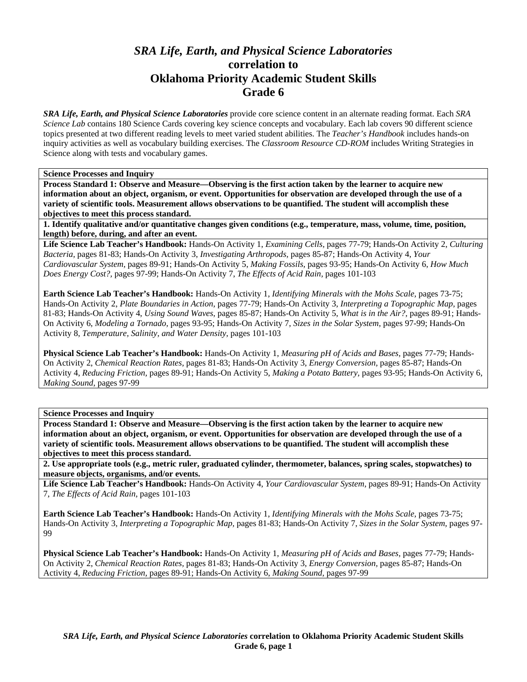# *SRA Life, Earth, and Physical Science Laboratories*  **correlation to Oklahoma Priority Academic Student Skills Grade 6**

*SRA Life, Earth, and Physical Science Laboratories* provide core science content in an alternate reading format. Each *SRA Science Lab* contains 180 Science Cards covering key science concepts and vocabulary. Each lab covers 90 different science topics presented at two different reading levels to meet varied student abilities. The *Teacher's Handbook* includes hands-on inquiry activities as well as vocabulary building exercises. The *Classroom Resource CD-ROM* includes Writing Strategies in Science along with tests and vocabulary games.

**Science Processes and Inquiry** 

**Process Standard 1: Observe and Measure—Observing is the first action taken by the learner to acquire new information about an object, organism, or event. Opportunities for observation are developed through the use of a variety of scientific tools. Measurement allows observations to be quantified. The student will accomplish these objectives to meet this process standard.** 

**1. Identify qualitative and/or quantitative changes given conditions (e.g., temperature, mass, volume, time, position, length) before, during, and after an event.** 

**Life Science Lab Teacher's Handbook:** Hands-On Activity 1, *Examining Cells,* pages 77-79; Hands-On Activity 2, *Culturing Bacteria,* pages 81-83; Hands-On Activity 3, *Investigating Arthropods,* pages 85-87; Hands-On Activity 4, *Your Cardiovascular System,* pages 89-91; Hands-On Activity 5, *Making Fossils,* pages 93-95; Hands-On Activity 6, *How Much Does Energy Cost?,* pages 97-99; Hands-On Activity 7, *The Effects of Acid Rain,* pages 101-103

**Earth Science Lab Teacher's Handbook:** Hands-On Activity 1, *Identifying Minerals with the Mohs Scale,* pages 73-75; Hands-On Activity 2, *Plate Boundaries in Action,* pages 77-79; Hands-On Activity 3, *Interpreting a Topographic Map,* pages 81-83; Hands-On Activity 4, *Using Sound Waves,* pages 85-87; Hands-On Activity 5, *What is in the Air?,* pages 89-91; Hands-On Activity 6, *Modeling a Tornado,* pages 93-95; Hands-On Activity 7, *Sizes in the Solar System,* pages 97-99; Hands-On Activity 8, *Temperature, Salinity, and Water Density,* pages 101-103

**Physical Science Lab Teacher's Handbook:** Hands-On Activity 1, *Measuring pH of Acids and Bases,* pages 77-79; Hands-On Activity 2, *Chemical Reaction Rates,* pages 81-83; Hands-On Activity 3, *Energy Conversion,* pages 85-87; Hands-On Activity 4, *Reducing Friction,* pages 89-91; Hands-On Activity 5, *Making a Potato Battery,* pages 93-95; Hands-On Activity 6, *Making Sound,* pages 97-99

**Science Processes and Inquiry** 

**Process Standard 1: Observe and Measure—Observing is the first action taken by the learner to acquire new information about an object, organism, or event. Opportunities for observation are developed through the use of a variety of scientific tools. Measurement allows observations to be quantified. The student will accomplish these objectives to meet this process standard.** 

**2. Use appropriate tools (e.g., metric ruler, graduated cylinder, thermometer, balances, spring scales, stopwatches) to measure objects, organisms, and/or events.** 

**Life Science Lab Teacher's Handbook:** Hands-On Activity 4, *Your Cardiovascular System,* pages 89-91; Hands-On Activity 7, *The Effects of Acid Rain,* pages 101-103

**Earth Science Lab Teacher's Handbook:** Hands-On Activity 1, *Identifying Minerals with the Mohs Scale,* pages 73-75; Hands-On Activity 3, *Interpreting a Topographic Map,* pages 81-83; Hands-On Activity 7, *Sizes in the Solar System,* pages 97- 99

**Physical Science Lab Teacher's Handbook:** Hands-On Activity 1, *Measuring pH of Acids and Bases,* pages 77-79; Hands-On Activity 2, *Chemical Reaction Rates,* pages 81-83; Hands-On Activity 3, *Energy Conversion,* pages 85-87; Hands-On Activity 4, *Reducing Friction,* pages 89-91; Hands-On Activity 6, *Making Sound,* pages 97-99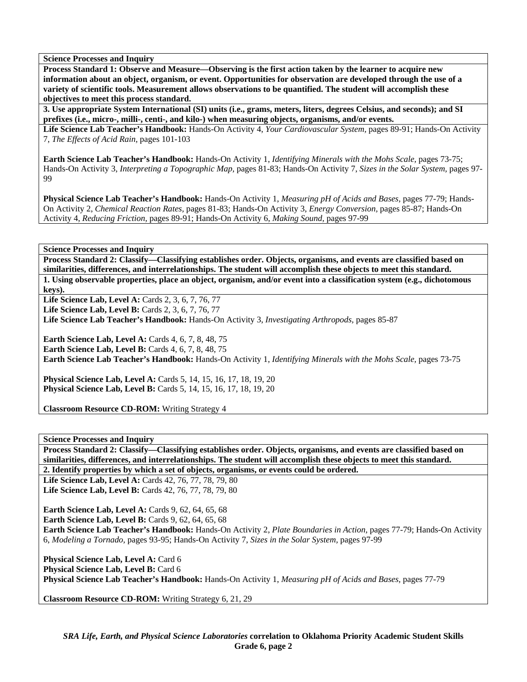**Process Standard 1: Observe and Measure—Observing is the first action taken by the learner to acquire new information about an object, organism, or event. Opportunities for observation are developed through the use of a variety of scientific tools. Measurement allows observations to be quantified. The student will accomplish these objectives to meet this process standard.** 

**3. Use appropriate System International (SI) units (i.e., grams, meters, liters, degrees Celsius, and seconds); and SI prefixes (i.e., micro-, milli-, centi-, and kilo-) when measuring objects, organisms, and/or events.** 

**Life Science Lab Teacher's Handbook:** Hands-On Activity 4, *Your Cardiovascular System,* pages 89-91; Hands-On Activity 7, *The Effects of Acid Rain,* pages 101-103

**Earth Science Lab Teacher's Handbook:** Hands-On Activity 1, *Identifying Minerals with the Mohs Scale,* pages 73-75; Hands-On Activity 3, *Interpreting a Topographic Map,* pages 81-83; Hands-On Activity 7, *Sizes in the Solar System,* pages 97- **99** 

**Physical Science Lab Teacher's Handbook:** Hands-On Activity 1, *Measuring pH of Acids and Bases,* pages 77-79; Hands-On Activity 2, *Chemical Reaction Rates,* pages 81-83; Hands-On Activity 3, *Energy Conversion,* pages 85-87; Hands-On Activity 4, *Reducing Friction,* pages 89-91; Hands-On Activity 6, *Making Sound,* pages 97-99

**Science Processes and Inquiry** 

**Process Standard 2: Classify—Classifying establishes order. Objects, organisms, and events are classified based on similarities, differences, and interrelationships. The student will accomplish these objects to meet this standard. 1. Using observable properties, place an object, organism, and/or event into a classification system (e.g., dichotomous keys).** 

**Life Science Lab, Level A: Cards 2, 3, 6, 7, 76, 77** 

**Life Science Lab, Level B: Cards 2, 3, 6, 7, 76, 77** 

**Life Science Lab Teacher's Handbook:** Hands-On Activity 3, *Investigating Arthropods,* pages 85-87

**Earth Science Lab, Level A: Cards 4, 6, 7, 8, 48, 75 Earth Science Lab, Level B:** Cards 4, 6, 7, 8, 48, 75 **Earth Science Lab Teacher's Handbook:** Hands-On Activity 1, *Identifying Minerals with the Mohs Scale,* pages 73-75

**Physical Science Lab, Level A:** Cards 5, 14, 15, 16, 17, 18, 19, 20 **Physical Science Lab, Level B:** Cards 5, 14, 15, 16, 17, 18, 19, 20

**Classroom Resource CD-ROM:** Writing Strategy 4

**Science Processes and Inquiry** 

**Process Standard 2: Classify—Classifying establishes order. Objects, organisms, and events are classified based on similarities, differences, and interrelationships. The student will accomplish these objects to meet this standard.** 

**2. Identify properties by which a set of objects, organisms, or events could be ordered.** 

**Life Science Lab, Level A: Cards 42, 76, 77, 78, 79, 80 Life Science Lab, Level B:** Cards 42, 76, 77, 78, 79, 80

**Earth Science Lab, Level A: Cards 9, 62, 64, 65, 68 Earth Science Lab, Level B: Cards 9, 62, 64, 65, 68 Earth Science Lab Teacher's Handbook:** Hands-On Activity 2, *Plate Boundaries in Action,* pages 77-79; Hands-On Activity 6, *Modeling a Tornado,* pages 93-95; Hands-On Activity 7, *Sizes in the Solar System,* pages 97-99

Physical Science Lab, Level A: Card 6 Physical Science Lab, Level B: Card 6 **Physical Science Lab Teacher's Handbook:** Hands-On Activity 1, *Measuring pH of Acids and Bases,* pages 77-79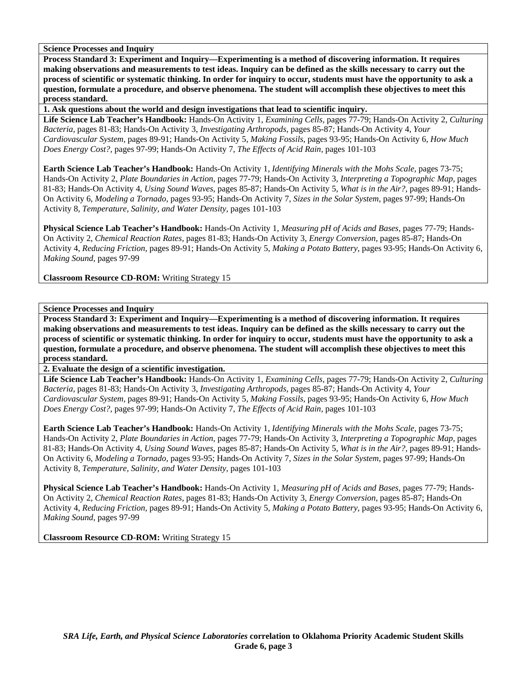**Process Standard 3: Experiment and Inquiry—Experimenting is a method of discovering information. It requires making observations and measurements to test ideas. Inquiry can be defined as the skills necessary to carry out the process of scientific or systematic thinking. In order for inquiry to occur, students must have the opportunity to ask a question, formulate a procedure, and observe phenomena. The student will accomplish these objectives to meet this process standard.** 

**1. Ask questions about the world and design investigations that lead to scientific inquiry.** 

**Life Science Lab Teacher's Handbook:** Hands-On Activity 1, *Examining Cells,* pages 77-79; Hands-On Activity 2, *Culturing Bacteria,* pages 81-83; Hands-On Activity 3, *Investigating Arthropods,* pages 85-87; Hands-On Activity 4, *Your Cardiovascular System,* pages 89-91; Hands-On Activity 5, *Making Fossils,* pages 93-95; Hands-On Activity 6, *How Much Does Energy Cost?,* pages 97-99; Hands-On Activity 7, *The Effects of Acid Rain,* pages 101-103

**Earth Science Lab Teacher's Handbook:** Hands-On Activity 1, *Identifying Minerals with the Mohs Scale,* pages 73-75; Hands-On Activity 2, *Plate Boundaries in Action,* pages 77-79; Hands-On Activity 3, *Interpreting a Topographic Map,* pages 81-83; Hands-On Activity 4, *Using Sound Waves,* pages 85-87; Hands-On Activity 5, *What is in the Air?,* pages 89-91; Hands-On Activity 6, *Modeling a Tornado,* pages 93-95; Hands-On Activity 7, *Sizes in the Solar System,* pages 97-99; Hands-On Activity 8, *Temperature, Salinity, and Water Density,* pages 101-103

**Physical Science Lab Teacher's Handbook:** Hands-On Activity 1, *Measuring pH of Acids and Bases,* pages 77-79; Hands-On Activity 2, *Chemical Reaction Rates,* pages 81-83; Hands-On Activity 3, *Energy Conversion,* pages 85-87; Hands-On Activity 4, *Reducing Friction,* pages 89-91; Hands-On Activity 5, *Making a Potato Battery,* pages 93-95; Hands-On Activity 6, *Making Sound,* pages 97-99

**Classroom Resource CD-ROM:** Writing Strategy 15

# **Science Processes and Inquiry**

**Process Standard 3: Experiment and Inquiry—Experimenting is a method of discovering information. It requires making observations and measurements to test ideas. Inquiry can be defined as the skills necessary to carry out the process of scientific or systematic thinking. In order for inquiry to occur, students must have the opportunity to ask a question, formulate a procedure, and observe phenomena. The student will accomplish these objectives to meet this process standard.** 

**2. Evaluate the design of a scientific investigation.** 

**Life Science Lab Teacher's Handbook:** Hands-On Activity 1, *Examining Cells,* pages 77-79; Hands-On Activity 2, *Culturing Bacteria,* pages 81-83; Hands-On Activity 3, *Investigating Arthropods,* pages 85-87; Hands-On Activity 4, *Your Cardiovascular System,* pages 89-91; Hands-On Activity 5, *Making Fossils,* pages 93-95; Hands-On Activity 6, *How Much Does Energy Cost?,* pages 97-99; Hands-On Activity 7, *The Effects of Acid Rain,* pages 101-103

**Earth Science Lab Teacher's Handbook:** Hands-On Activity 1, *Identifying Minerals with the Mohs Scale,* pages 73-75; Hands-On Activity 2, *Plate Boundaries in Action,* pages 77-79; Hands-On Activity 3, *Interpreting a Topographic Map,* pages 81-83; Hands-On Activity 4, *Using Sound Waves,* pages 85-87; Hands-On Activity 5, *What is in the Air?,* pages 89-91; Hands-On Activity 6, *Modeling a Tornado,* pages 93-95; Hands-On Activity 7, *Sizes in the Solar System,* pages 97-99; Hands-On Activity 8, *Temperature, Salinity, and Water Density,* pages 101-103

**Physical Science Lab Teacher's Handbook:** Hands-On Activity 1, *Measuring pH of Acids and Bases,* pages 77-79; Hands-On Activity 2, *Chemical Reaction Rates,* pages 81-83; Hands-On Activity 3, *Energy Conversion,* pages 85-87; Hands-On Activity 4, *Reducing Friction,* pages 89-91; Hands-On Activity 5, *Making a Potato Battery,* pages 93-95; Hands-On Activity 6, *Making Sound,* pages 97-99

**Classroom Resource CD-ROM:** Writing Strategy 15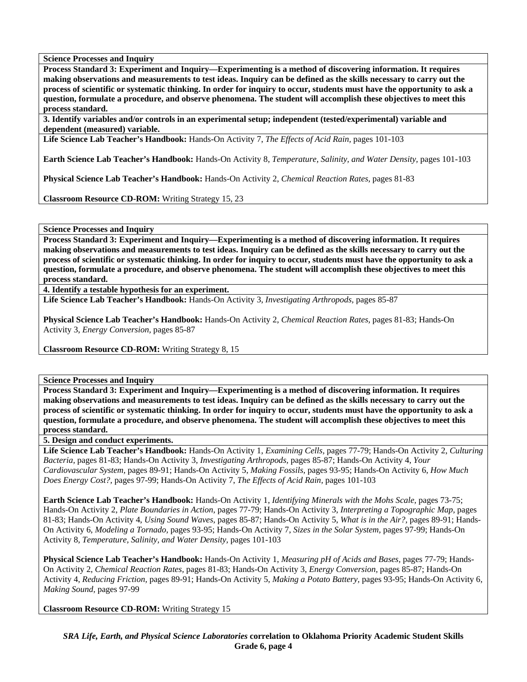**Process Standard 3: Experiment and Inquiry—Experimenting is a method of discovering information. It requires making observations and measurements to test ideas. Inquiry can be defined as the skills necessary to carry out the process of scientific or systematic thinking. In order for inquiry to occur, students must have the opportunity to ask a question, formulate a procedure, and observe phenomena. The student will accomplish these objectives to meet this process standard.** 

**3. Identify variables and/or controls in an experimental setup; independent (tested/experimental) variable and dependent (measured) variable.** 

**Life Science Lab Teacher's Handbook:** Hands-On Activity 7, *The Effects of Acid Rain,* pages 101-103

**Earth Science Lab Teacher's Handbook:** Hands-On Activity 8, *Temperature, Salinity, and Water Density,* pages 101-103

**Physical Science Lab Teacher's Handbook:** Hands-On Activity 2, *Chemical Reaction Rates,* pages 81-83

**Classroom Resource CD-ROM:** Writing Strategy 15, 23

**Science Processes and Inquiry** 

**Process Standard 3: Experiment and Inquiry—Experimenting is a method of discovering information. It requires making observations and measurements to test ideas. Inquiry can be defined as the skills necessary to carry out the process of scientific or systematic thinking. In order for inquiry to occur, students must have the opportunity to ask a question, formulate a procedure, and observe phenomena. The student will accomplish these objectives to meet this process standard.** 

**4. Identify a testable hypothesis for an experiment.** 

**Life Science Lab Teacher's Handbook:** Hands-On Activity 3, *Investigating Arthropods,* pages 85-87

**Physical Science Lab Teacher's Handbook:** Hands-On Activity 2, *Chemical Reaction Rates,* pages 81-83; Hands-On Activity 3, *Energy Conversion,* pages 85-87

**Classroom Resource CD-ROM:** Writing Strategy 8, 15

**Science Processes and Inquiry** 

**Process Standard 3: Experiment and Inquiry—Experimenting is a method of discovering information. It requires making observations and measurements to test ideas. Inquiry can be defined as the skills necessary to carry out the process of scientific or systematic thinking. In order for inquiry to occur, students must have the opportunity to ask a question, formulate a procedure, and observe phenomena. The student will accomplish these objectives to meet this process standard.** 

**5. Design and conduct experiments.** 

**Life Science Lab Teacher's Handbook:** Hands-On Activity 1, *Examining Cells,* pages 77-79; Hands-On Activity 2, *Culturing Bacteria,* pages 81-83; Hands-On Activity 3, *Investigating Arthropods,* pages 85-87; Hands-On Activity 4, *Your Cardiovascular System,* pages 89-91; Hands-On Activity 5, *Making Fossils,* pages 93-95; Hands-On Activity 6, *How Much Does Energy Cost?,* pages 97-99; Hands-On Activity 7, *The Effects of Acid Rain,* pages 101-103

**Earth Science Lab Teacher's Handbook:** Hands-On Activity 1, *Identifying Minerals with the Mohs Scale,* pages 73-75; Hands-On Activity 2, *Plate Boundaries in Action,* pages 77-79; Hands-On Activity 3, *Interpreting a Topographic Map,* pages 81-83; Hands-On Activity 4, *Using Sound Waves,* pages 85-87; Hands-On Activity 5, *What is in the Air?,* pages 89-91; Hands-On Activity 6, *Modeling a Tornado,* pages 93-95; Hands-On Activity 7, *Sizes in the Solar System,* pages 97-99; Hands-On Activity 8, *Temperature, Salinity, and Water Density,* pages 101-103

**Physical Science Lab Teacher's Handbook:** Hands-On Activity 1, *Measuring pH of Acids and Bases,* pages 77-79; Hands-On Activity 2, *Chemical Reaction Rates,* pages 81-83; Hands-On Activity 3, *Energy Conversion,* pages 85-87; Hands-On Activity 4, *Reducing Friction,* pages 89-91; Hands-On Activity 5, *Making a Potato Battery,* pages 93-95; Hands-On Activity 6, *Making Sound,* pages 97-99

**Classroom Resource CD-ROM:** Writing Strategy 15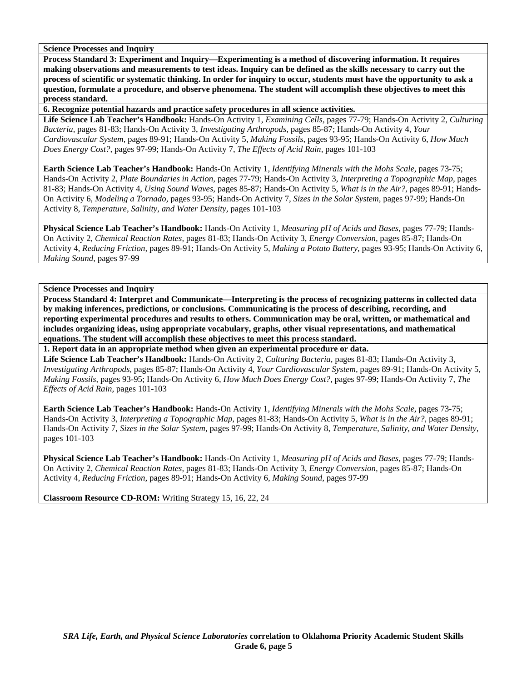**Process Standard 3: Experiment and Inquiry—Experimenting is a method of discovering information. It requires making observations and measurements to test ideas. Inquiry can be defined as the skills necessary to carry out the process of scientific or systematic thinking. In order for inquiry to occur, students must have the opportunity to ask a question, formulate a procedure, and observe phenomena. The student will accomplish these objectives to meet this process standard.** 

**6. Recognize potential hazards and practice safety procedures in all science activities.** 

**Life Science Lab Teacher's Handbook:** Hands-On Activity 1, *Examining Cells,* pages 77-79; Hands-On Activity 2, *Culturing Bacteria,* pages 81-83; Hands-On Activity 3, *Investigating Arthropods,* pages 85-87; Hands-On Activity 4, *Your Cardiovascular System,* pages 89-91; Hands-On Activity 5, *Making Fossils,* pages 93-95; Hands-On Activity 6, *How Much Does Energy Cost?,* pages 97-99; Hands-On Activity 7, *The Effects of Acid Rain,* pages 101-103

**Earth Science Lab Teacher's Handbook:** Hands-On Activity 1, *Identifying Minerals with the Mohs Scale,* pages 73-75; Hands-On Activity 2, *Plate Boundaries in Action,* pages 77-79; Hands-On Activity 3, *Interpreting a Topographic Map,* pages 81-83; Hands-On Activity 4, *Using Sound Waves,* pages 85-87; Hands-On Activity 5, *What is in the Air?,* pages 89-91; Hands-On Activity 6, *Modeling a Tornado,* pages 93-95; Hands-On Activity 7, *Sizes in the Solar System,* pages 97-99; Hands-On Activity 8, *Temperature, Salinity, and Water Density,* pages 101-103

**Physical Science Lab Teacher's Handbook:** Hands-On Activity 1, *Measuring pH of Acids and Bases,* pages 77-79; Hands-On Activity 2, *Chemical Reaction Rates,* pages 81-83; Hands-On Activity 3, *Energy Conversion,* pages 85-87; Hands-On Activity 4, *Reducing Friction,* pages 89-91; Hands-On Activity 5, *Making a Potato Battery,* pages 93-95; Hands-On Activity 6, *Making Sound,* pages 97-99

**Science Processes and Inquiry** 

**Process Standard 4: Interpret and Communicate—Interpreting is the process of recognizing patterns in collected data by making inferences, predictions, or conclusions. Communicating is the process of describing, recording, and reporting experimental procedures and results to others. Communication may be oral, written, or mathematical and includes organizing ideas, using appropriate vocabulary, graphs, other visual representations, and mathematical equations. The student will accomplish these objectives to meet this process standard.** 

**1. Report data in an appropriate method when given an experimental procedure or data.** 

**Life Science Lab Teacher's Handbook:** Hands-On Activity 2, *Culturing Bacteria,* pages 81-83; Hands-On Activity 3, *Investigating Arthropods,* pages 85-87; Hands-On Activity 4, *Your Cardiovascular System,* pages 89-91; Hands-On Activity 5, *Making Fossils,* pages 93-95; Hands-On Activity 6, *How Much Does Energy Cost?,* pages 97-99; Hands-On Activity 7, *The Effects of Acid Rain,* pages 101-103

**Earth Science Lab Teacher's Handbook:** Hands-On Activity 1, *Identifying Minerals with the Mohs Scale,* pages 73-75; Hands-On Activity 3, *Interpreting a Topographic Map,* pages 81-83; Hands-On Activity 5, *What is in the Air?,* pages 89-91; Hands-On Activity 7, *Sizes in the Solar System,* pages 97-99; Hands-On Activity 8, *Temperature, Salinity, and Water Density,* pages 101-103

**Physical Science Lab Teacher's Handbook:** Hands-On Activity 1, *Measuring pH of Acids and Bases,* pages 77-79; Hands-On Activity 2, *Chemical Reaction Rates,* pages 81-83; Hands-On Activity 3, *Energy Conversion,* pages 85-87; Hands-On Activity 4, *Reducing Friction,* pages 89-91; Hands-On Activity 6, *Making Sound,* pages 97-99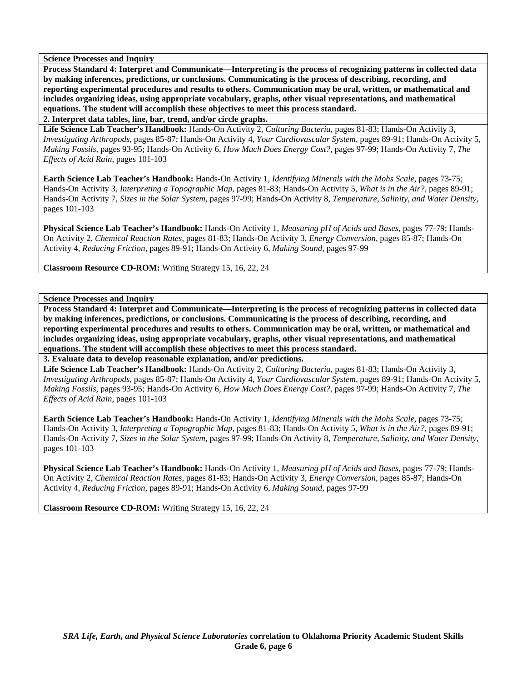**Process Standard 4: Interpret and Communicate—Interpreting is the process of recognizing patterns in collected data by making inferences, predictions, or conclusions. Communicating is the process of describing, recording, and reporting experimental procedures and results to others. Communication may be oral, written, or mathematical and includes organizing ideas, using appropriate vocabulary, graphs, other visual representations, and mathematical equations. The student will accomplish these objectives to meet this process standard.** 

**2. Interpret data tables, line, bar, trend, and/or circle graphs.** 

**Life Science Lab Teacher's Handbook:** Hands-On Activity 2, *Culturing Bacteria,* pages 81-83; Hands-On Activity 3, *Investigating Arthropods,* pages 85-87; Hands-On Activity 4, *Your Cardiovascular System,* pages 89-91; Hands-On Activity 5, *Making Fossils,* pages 93-95; Hands-On Activity 6, *How Much Does Energy Cost?,* pages 97-99; Hands-On Activity 7, *The Effects of Acid Rain,* pages 101-103

**Earth Science Lab Teacher's Handbook:** Hands-On Activity 1, *Identifying Minerals with the Mohs Scale,* pages 73-75; Hands-On Activity 3, *Interpreting a Topographic Map,* pages 81-83; Hands-On Activity 5, *What is in the Air?,* pages 89-91; Hands-On Activity 7, *Sizes in the Solar System,* pages 97-99; Hands-On Activity 8, *Temperature, Salinity, and Water Density,* pages 101-103

**Physical Science Lab Teacher's Handbook:** Hands-On Activity 1, *Measuring pH of Acids and Bases,* pages 77-79; Hands-On Activity 2, *Chemical Reaction Rates,* pages 81-83; Hands-On Activity 3, *Energy Conversion,* pages 85-87; Hands-On Activity 4, *Reducing Friction,* pages 89-91; Hands-On Activity 6, *Making Sound,* pages 97-99

**Classroom Resource CD-ROM:** Writing Strategy 15, 16, 22, 24

**Science Processes and Inquiry** 

**Process Standard 4: Interpret and Communicate—Interpreting is the process of recognizing patterns in collected data by making inferences, predictions, or conclusions. Communicating is the process of describing, recording, and reporting experimental procedures and results to others. Communication may be oral, written, or mathematical and includes organizing ideas, using appropriate vocabulary, graphs, other visual representations, and mathematical equations. The student will accomplish these objectives to meet this process standard.** 

**3. Evaluate data to develop reasonable explanation, and/or predictions.** 

**Life Science Lab Teacher's Handbook:** Hands-On Activity 2, *Culturing Bacteria,* pages 81-83; Hands-On Activity 3, *Investigating Arthropods,* pages 85-87; Hands-On Activity 4, *Your Cardiovascular System,* pages 89-91; Hands-On Activity 5, *Making Fossils,* pages 93-95; Hands-On Activity 6, *How Much Does Energy Cost?,* pages 97-99; Hands-On Activity 7, *The Effects of Acid Rain,* pages 101-103

**Earth Science Lab Teacher's Handbook:** Hands-On Activity 1, *Identifying Minerals with the Mohs Scale,* pages 73-75; Hands-On Activity 3, *Interpreting a Topographic Map,* pages 81-83; Hands-On Activity 5, *What is in the Air?,* pages 89-91; Hands-On Activity 7, *Sizes in the Solar System,* pages 97-99; Hands-On Activity 8, *Temperature, Salinity, and Water Density,* pages 101-103

**Physical Science Lab Teacher's Handbook:** Hands-On Activity 1, *Measuring pH of Acids and Bases,* pages 77-79; Hands-On Activity 2, *Chemical Reaction Rates,* pages 81-83; Hands-On Activity 3, *Energy Conversion,* pages 85-87; Hands-On Activity 4, *Reducing Friction,* pages 89-91; Hands-On Activity 6, *Making Sound,* pages 97-99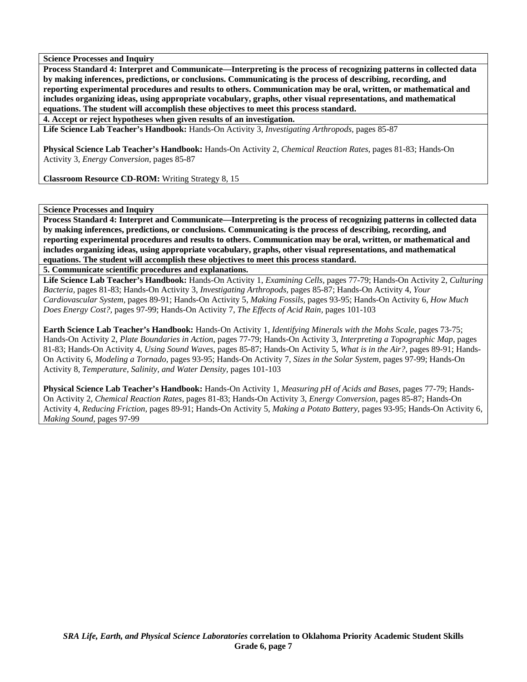**Process Standard 4: Interpret and Communicate—Interpreting is the process of recognizing patterns in collected data by making inferences, predictions, or conclusions. Communicating is the process of describing, recording, and reporting experimental procedures and results to others. Communication may be oral, written, or mathematical and includes organizing ideas, using appropriate vocabulary, graphs, other visual representations, and mathematical equations. The student will accomplish these objectives to meet this process standard.** 

**4. Accept or reject hypotheses when given results of an investigation.** 

**Life Science Lab Teacher's Handbook:** Hands-On Activity 3, *Investigating Arthropods,* pages 85-87

**Physical Science Lab Teacher's Handbook:** Hands-On Activity 2, *Chemical Reaction Rates,* pages 81-83; Hands-On Activity 3, *Energy Conversion,* pages 85-87

**Classroom Resource CD-ROM:** Writing Strategy 8, 15

## **Science Processes and Inquiry**

**Process Standard 4: Interpret and Communicate—Interpreting is the process of recognizing patterns in collected data by making inferences, predictions, or conclusions. Communicating is the process of describing, recording, and reporting experimental procedures and results to others. Communication may be oral, written, or mathematical and includes organizing ideas, using appropriate vocabulary, graphs, other visual representations, and mathematical equations. The student will accomplish these objectives to meet this process standard.** 

**5. Communicate scientific procedures and explanations.** 

**Life Science Lab Teacher's Handbook:** Hands-On Activity 1, *Examining Cells,* pages 77-79; Hands-On Activity 2, *Culturing Bacteria,* pages 81-83; Hands-On Activity 3, *Investigating Arthropods,* pages 85-87; Hands-On Activity 4, *Your Cardiovascular System,* pages 89-91; Hands-On Activity 5, *Making Fossils,* pages 93-95; Hands-On Activity 6, *How Much Does Energy Cost?,* pages 97-99; Hands-On Activity 7, *The Effects of Acid Rain,* pages 101-103

**Earth Science Lab Teacher's Handbook:** Hands-On Activity 1, *Identifying Minerals with the Mohs Scale,* pages 73-75; Hands-On Activity 2, *Plate Boundaries in Action,* pages 77-79; Hands-On Activity 3, *Interpreting a Topographic Map,* pages 81-83; Hands-On Activity 4, *Using Sound Waves,* pages 85-87; Hands-On Activity 5, *What is in the Air?,* pages 89-91; Hands-On Activity 6, *Modeling a Tornado,* pages 93-95; Hands-On Activity 7, *Sizes in the Solar System,* pages 97-99; Hands-On Activity 8, *Temperature, Salinity, and Water Density,* pages 101-103

**Physical Science Lab Teacher's Handbook:** Hands-On Activity 1, *Measuring pH of Acids and Bases,* pages 77-79; Hands-On Activity 2, *Chemical Reaction Rates,* pages 81-83; Hands-On Activity 3, *Energy Conversion,* pages 85-87; Hands-On Activity 4, *Reducing Friction,* pages 89-91; Hands-On Activity 5, *Making a Potato Battery,* pages 93-95; Hands-On Activity 6, *Making Sound,* pages 97-99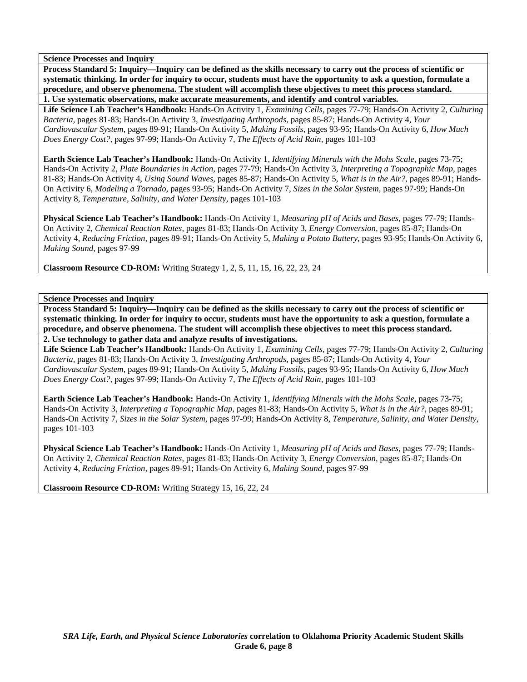**Process Standard 5: Inquiry—Inquiry can be defined as the skills necessary to carry out the process of scientific or systematic thinking. In order for inquiry to occur, students must have the opportunity to ask a question, formulate a procedure, and observe phenomena. The student will accomplish these objectives to meet this process standard.** 

**1. Use systematic observations, make accurate measurements, and identify and control variables.** 

**Life Science Lab Teacher's Handbook:** Hands-On Activity 1, *Examining Cells,* pages 77-79; Hands-On Activity 2, *Culturing Bacteria,* pages 81-83; Hands-On Activity 3, *Investigating Arthropods,* pages 85-87; Hands-On Activity 4, *Your Cardiovascular System,* pages 89-91; Hands-On Activity 5, *Making Fossils,* pages 93-95; Hands-On Activity 6, *How Much Does Energy Cost?,* pages 97-99; Hands-On Activity 7, *The Effects of Acid Rain,* pages 101-103

**Earth Science Lab Teacher's Handbook:** Hands-On Activity 1, *Identifying Minerals with the Mohs Scale,* pages 73-75; Hands-On Activity 2, *Plate Boundaries in Action,* pages 77-79; Hands-On Activity 3, *Interpreting a Topographic Map,* pages 81-83; Hands-On Activity 4, *Using Sound Waves,* pages 85-87; Hands-On Activity 5, *What is in the Air?,* pages 89-91; Hands-On Activity 6, *Modeling a Tornado,* pages 93-95; Hands-On Activity 7, *Sizes in the Solar System,* pages 97-99; Hands-On Activity 8, *Temperature, Salinity, and Water Density,* pages 101-103

**Physical Science Lab Teacher's Handbook:** Hands-On Activity 1, *Measuring pH of Acids and Bases,* pages 77-79; Hands-On Activity 2, *Chemical Reaction Rates,* pages 81-83; Hands-On Activity 3, *Energy Conversion,* pages 85-87; Hands-On Activity 4, *Reducing Friction,* pages 89-91; Hands-On Activity 5, *Making a Potato Battery,* pages 93-95; Hands-On Activity 6, *Making Sound,* pages 97-99

**Classroom Resource CD-ROM:** Writing Strategy 1, 2, 5, 11, 15, 16, 22, 23, 24

**Science Processes and Inquiry** 

**Process Standard 5: Inquiry—Inquiry can be defined as the skills necessary to carry out the process of scientific or systematic thinking. In order for inquiry to occur, students must have the opportunity to ask a question, formulate a procedure, and observe phenomena. The student will accomplish these objectives to meet this process standard. 2. Use technology to gather data and analyze results of investigations.** 

**Life Science Lab Teacher's Handbook:** Hands-On Activity 1, *Examining Cells,* pages 77-79; Hands-On Activity 2, *Culturing Bacteria,* pages 81-83; Hands-On Activity 3, *Investigating Arthropods,* pages 85-87; Hands-On Activity 4, *Your Cardiovascular System,* pages 89-91; Hands-On Activity 5, *Making Fossils,* pages 93-95; Hands-On Activity 6, *How Much Does Energy Cost?,* pages 97-99; Hands-On Activity 7, *The Effects of Acid Rain,* pages 101-103

**Earth Science Lab Teacher's Handbook:** Hands-On Activity 1, *Identifying Minerals with the Mohs Scale,* pages 73-75; Hands-On Activity 3, *Interpreting a Topographic Map,* pages 81-83; Hands-On Activity 5, *What is in the Air?,* pages 89-91; Hands-On Activity 7, *Sizes in the Solar System,* pages 97-99; Hands-On Activity 8, *Temperature, Salinity, and Water Density,* pages 101-103

**Physical Science Lab Teacher's Handbook:** Hands-On Activity 1, *Measuring pH of Acids and Bases,* pages 77-79; Hands-On Activity 2, *Chemical Reaction Rates,* pages 81-83; Hands-On Activity 3, *Energy Conversion,* pages 85-87; Hands-On Activity 4, *Reducing Friction,* pages 89-91; Hands-On Activity 6, *Making Sound,* pages 97-99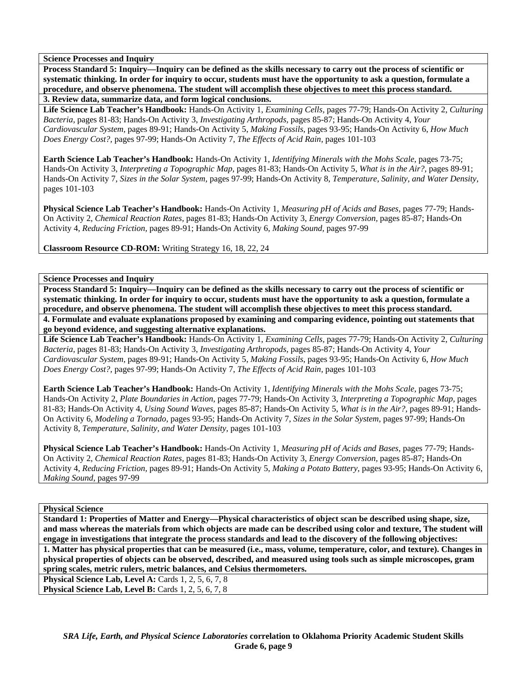**Process Standard 5: Inquiry—Inquiry can be defined as the skills necessary to carry out the process of scientific or systematic thinking. In order for inquiry to occur, students must have the opportunity to ask a question, formulate a procedure, and observe phenomena. The student will accomplish these objectives to meet this process standard.** 

**3. Review data, summarize data, and form logical conclusions.** 

**Life Science Lab Teacher's Handbook:** Hands-On Activity 1, *Examining Cells,* pages 77-79; Hands-On Activity 2, *Culturing Bacteria,* pages 81-83; Hands-On Activity 3, *Investigating Arthropods,* pages 85-87; Hands-On Activity 4, *Your Cardiovascular System,* pages 89-91; Hands-On Activity 5, *Making Fossils,* pages 93-95; Hands-On Activity 6, *How Much Does Energy Cost?,* pages 97-99; Hands-On Activity 7, *The Effects of Acid Rain,* pages 101-103

**Earth Science Lab Teacher's Handbook:** Hands-On Activity 1, *Identifying Minerals with the Mohs Scale,* pages 73-75; Hands-On Activity 3, *Interpreting a Topographic Map,* pages 81-83; Hands-On Activity 5, *What is in the Air?,* pages 89-91; Hands-On Activity 7, *Sizes in the Solar System,* pages 97-99; Hands-On Activity 8, *Temperature, Salinity, and Water Density,* pages 101-103

**Physical Science Lab Teacher's Handbook:** Hands-On Activity 1, *Measuring pH of Acids and Bases,* pages 77-79; Hands-On Activity 2, *Chemical Reaction Rates,* pages 81-83; Hands-On Activity 3, *Energy Conversion,* pages 85-87; Hands-On Activity 4, *Reducing Friction,* pages 89-91; Hands-On Activity 6, *Making Sound,* pages 97-99

**Classroom Resource CD-ROM:** Writing Strategy 16, 18, 22, 24

## **Science Processes and Inquiry**

**Process Standard 5: Inquiry—Inquiry can be defined as the skills necessary to carry out the process of scientific or systematic thinking. In order for inquiry to occur, students must have the opportunity to ask a question, formulate a procedure, and observe phenomena. The student will accomplish these objectives to meet this process standard. 4. Formulate and evaluate explanations proposed by examining and comparing evidence, pointing out statements that** 

**go beyond evidence, and suggesting alternative explanations. Life Science Lab Teacher's Handbook:** Hands-On Activity 1, *Examining Cells,* pages 77-79; Hands-On Activity 2, *Culturing Bacteria,* pages 81-83; Hands-On Activity 3, *Investigating Arthropods,* pages 85-87; Hands-On Activity 4, *Your Cardiovascular System,* pages 89-91; Hands-On Activity 5, *Making Fossils,* pages 93-95; Hands-On Activity 6, *How Much Does Energy Cost?,* pages 97-99; Hands-On Activity 7, *The Effects of Acid Rain,* pages 101-103

**Earth Science Lab Teacher's Handbook:** Hands-On Activity 1, *Identifying Minerals with the Mohs Scale,* pages 73-75; Hands-On Activity 2, *Plate Boundaries in Action,* pages 77-79; Hands-On Activity 3, *Interpreting a Topographic Map,* pages 81-83; Hands-On Activity 4, *Using Sound Waves,* pages 85-87; Hands-On Activity 5, *What is in the Air?,* pages 89-91; Hands-On Activity 6, *Modeling a Tornado,* pages 93-95; Hands-On Activity 7, *Sizes in the Solar System,* pages 97-99; Hands-On Activity 8, *Temperature, Salinity, and Water Density,* pages 101-103

**Physical Science Lab Teacher's Handbook:** Hands-On Activity 1, *Measuring pH of Acids and Bases,* pages 77-79; Hands-On Activity 2, *Chemical Reaction Rates,* pages 81-83; Hands-On Activity 3, *Energy Conversion,* pages 85-87; Hands-On Activity 4, *Reducing Friction,* pages 89-91; Hands-On Activity 5, *Making a Potato Battery,* pages 93-95; Hands-On Activity 6, *Making Sound,* pages 97-99

## **Physical Science**

**Standard 1: Properties of Matter and Energy—Physical characteristics of object scan be described using shape, size, and mass whereas the materials from which objects are made can be described using color and texture, The student will engage in investigations that integrate the process standards and lead to the discovery of the following objectives: 1. Matter has physical properties that can be measured (i.e., mass, volume, temperature, color, and texture). Changes in physical properties of objects can be observed, described, and measured using tools such as simple microscopes, gram spring scales, metric rulers, metric balances, and Celsius thermometers. Physical Science Lab, Level A: Cards 1, 2, 5, 6, 7, 8** 

**Physical Science Lab, Level B:** Cards 1, 2, 5, 6, 7, 8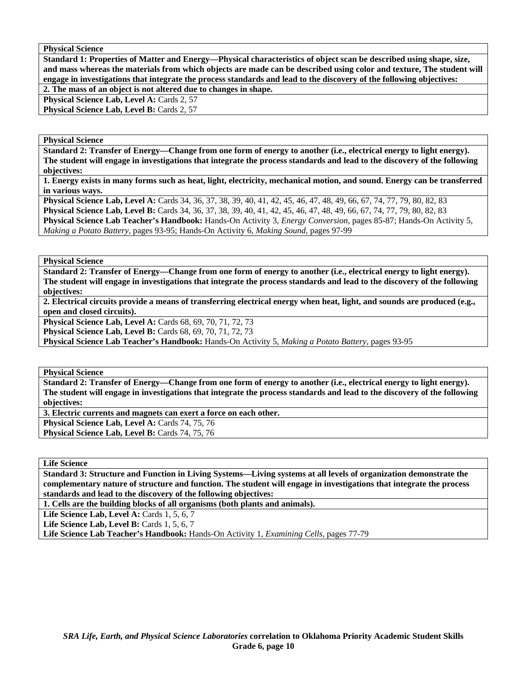**Physical Science** 

**Standard 1: Properties of Matter and Energy—Physical characteristics of object scan be described using shape, size, and mass whereas the materials from which objects are made can be described using color and texture, The student will engage in investigations that integrate the process standards and lead to the discovery of the following objectives:** 

**2. The mass of an object is not altered due to changes in shape.** 

Physical Science Lab, Level A: Cards 2, 57 Physical Science Lab, Level B: Cards 2, 57

**Physical Science** 

**Standard 2: Transfer of Energy—Change from one form of energy to another (i.e., electrical energy to light energy). The student will engage in investigations that integrate the process standards and lead to the discovery of the following objectives:** 

**1. Energy exists in many forms such as heat, light, electricity, mechanical motion, and sound. Energy can be transferred in various ways.** 

**Physical Science Lab, Level A:** Cards 34, 36, 37, 38, 39, 40, 41, 42, 45, 46, 47, 48, 49, 66, 67, 74, 77, 79, 80, 82, 83 **Physical Science Lab, Level B:** Cards 34, 36, 37, 38, 39, 40, 41, 42, 45, 46, 47, 48, 49, 66, 67, 74, 77, 79, 80, 82, 83 **Physical Science Lab Teacher's Handbook:** Hands-On Activity 3, *Energy Conversion,* pages 85-87; Hands-On Activity 5, *Making a Potato Battery,* pages 93-95; Hands-On Activity 6, *Making Sound,* pages 97-99

**Physical Science** 

**Standard 2: Transfer of Energy—Change from one form of energy to another (i.e., electrical energy to light energy). The student will engage in investigations that integrate the process standards and lead to the discovery of the following objectives:** 

**2. Electrical circuits provide a means of transferring electrical energy when heat, light, and sounds are produced (e.g., open and closed circuits).** 

**Physical Science Lab, Level A:** Cards 68, 69, 70, 71, 72, 73

**Physical Science Lab, Level B:** Cards 68, 69, 70, 71, 72, 73

**Physical Science Lab Teacher's Handbook:** Hands-On Activity 5, *Making a Potato Battery,* pages 93-95

**Physical Science** 

**Standard 2: Transfer of Energy—Change from one form of energy to another (i.e., electrical energy to light energy). The student will engage in investigations that integrate the process standards and lead to the discovery of the following objectives:** 

**3. Electric currents and magnets can exert a force on each other.** 

Physical Science Lab, Level A: Cards 74, 75, 76

Physical Science Lab, Level B: Cards 74, 75, 76

**Life Science** 

**Standard 3: Structure and Function in Living Systems—Living systems at all levels of organization demonstrate the complementary nature of structure and function. The student will engage in investigations that integrate the process standards and lead to the discovery of the following objectives:** 

**1. Cells are the building blocks of all organisms (both plants and animals).** 

**Life Science Lab, Level A: Cards 1, 5, 6, 7** 

**Life Science Lab, Level B: Cards 1, 5, 6, 7** 

**Life Science Lab Teacher's Handbook:** Hands-On Activity 1, *Examining Cells,* pages 77-79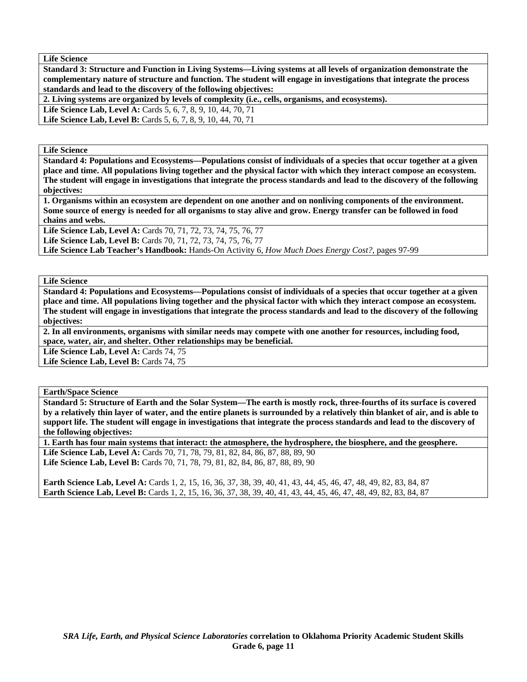**Life Science** 

**Standard 3: Structure and Function in Living Systems—Living systems at all levels of organization demonstrate the complementary nature of structure and function. The student will engage in investigations that integrate the process standards and lead to the discovery of the following objectives:** 

**2. Living systems are organized by levels of complexity (i.e., cells, organisms, and ecosystems).** 

**Life Science Lab, Level A:** Cards 5, 6, 7, 8, 9, 10, 44, 70, 71 Life Science Lab, Level B: Cards 5, 6, 7, 8, 9, 10, 44, 70, 71

**Life Science** 

**Standard 4: Populations and Ecosystems—Populations consist of individuals of a species that occur together at a given place and time. All populations living together and the physical factor with which they interact compose an ecosystem. The student will engage in investigations that integrate the process standards and lead to the discovery of the following objectives:** 

**1. Organisms within an ecosystem are dependent on one another and on nonliving components of the environment. Some source of energy is needed for all organisms to stay alive and grow. Energy transfer can be followed in food chains and webs.** 

**Life Science Lab, Level A:** Cards 70, 71, 72, 73, 74, 75, 76, 77

**Life Science Lab, Level B:** Cards 70, 71, 72, 73, 74, 75, 76, 77

**Life Science Lab Teacher's Handbook:** Hands-On Activity 6, *How Much Does Energy Cost?,* pages 97-99

**Life Science** 

**Standard 4: Populations and Ecosystems—Populations consist of individuals of a species that occur together at a given place and time. All populations living together and the physical factor with which they interact compose an ecosystem. The student will engage in investigations that integrate the process standards and lead to the discovery of the following objectives:** 

**2. In all environments, organisms with similar needs may compete with one another for resources, including food, space, water, air, and shelter. Other relationships may be beneficial.** 

Life Science Lab, Level A: Cards 74, 75

Life Science Lab, Level B: Cards 74, 75

**Earth/Space Science** 

**Standard 5: Structure of Earth and the Solar System—The earth is mostly rock, three-fourths of its surface is covered by a relatively thin layer of water, and the entire planets is surrounded by a relatively thin blanket of air, and is able to support life. The student will engage in investigations that integrate the process standards and lead to the discovery of the following objectives:** 

**1. Earth has four main systems that interact: the atmosphere, the hydrosphere, the biosphere, and the geosphere.**  Life Science Lab, Level A: Cards 70, 71, 78, 79, 81, 82, 84, 86, 87, 88, 89, 90 **Life Science Lab, Level B:** Cards 70, 71, 78, 79, 81, 82, 84, 86, 87, 88, 89, 90

**Earth Science Lab, Level A:** Cards 1, 2, 15, 16, 36, 37, 38, 39, 40, 41, 43, 44, 45, 46, 47, 48, 49, 82, 83, 84, 87 Earth Science Lab, Level B: Cards 1, 2, 15, 16, 36, 37, 38, 39, 40, 41, 43, 44, 45, 46, 47, 48, 49, 82, 83, 84, 87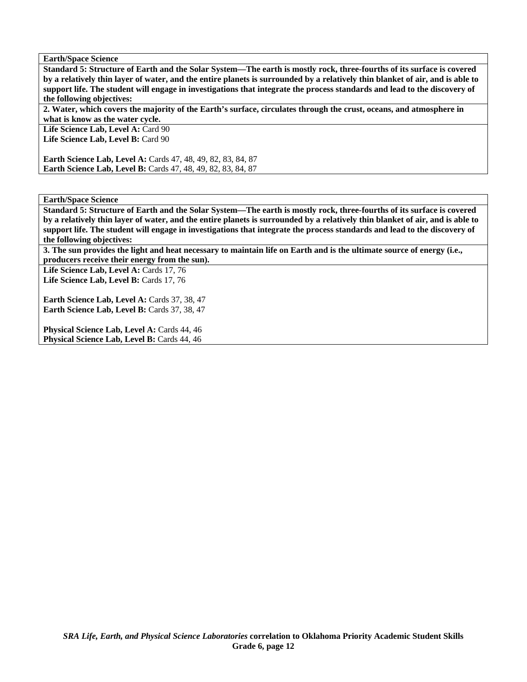**Earth/Space Science** 

**Standard 5: Structure of Earth and the Solar System—The earth is mostly rock, three-fourths of its surface is covered by a relatively thin layer of water, and the entire planets is surrounded by a relatively thin blanket of air, and is able to support life. The student will engage in investigations that integrate the process standards and lead to the discovery of the following objectives:** 

**2. Water, which covers the majority of the Earth's surface, circulates through the crust, oceans, and atmosphere in what is know as the water cycle.** 

Life Science Lab, Level A: Card 90 Life Science Lab, Level B: Card 90

**Earth Science Lab, Level A:** Cards 47, 48, 49, 82, 83, 84, 87 **Earth Science Lab, Level B:** Cards 47, 48, 49, 82, 83, 84, 87

**Earth/Space Science** 

**Standard 5: Structure of Earth and the Solar System—The earth is mostly rock, three-fourths of its surface is covered by a relatively thin layer of water, and the entire planets is surrounded by a relatively thin blanket of air, and is able to support life. The student will engage in investigations that integrate the process standards and lead to the discovery of the following objectives:** 

**3. The sun provides the light and heat necessary to maintain life on Earth and is the ultimate source of energy (i.e., producers receive their energy from the sun).** 

Life Science Lab, Level A: Cards 17, 76 Life Science Lab, Level B: Cards 17, 76

**Earth Science Lab, Level A: Cards 37, 38, 47** Earth Science Lab, Level B: Cards 37, 38, 47

**Physical Science Lab, Level A: Cards 44, 46** Physical Science Lab, Level B: Cards 44, 46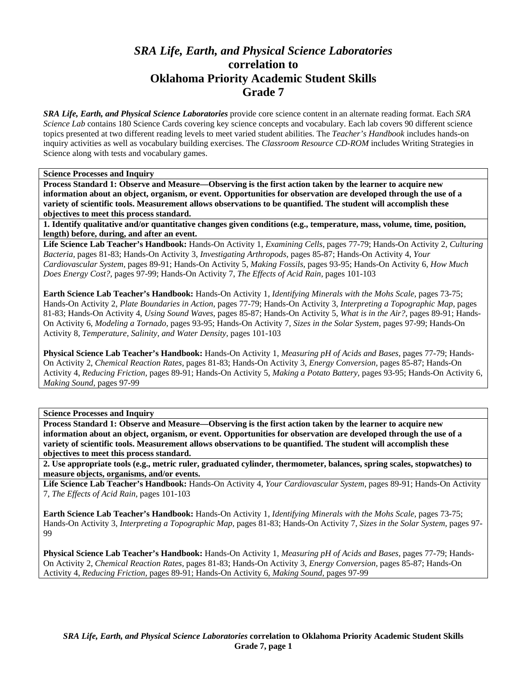# *SRA Life, Earth, and Physical Science Laboratories*  **correlation to Oklahoma Priority Academic Student Skills Grade 7**

*SRA Life, Earth, and Physical Science Laboratories* provide core science content in an alternate reading format. Each *SRA Science Lab* contains 180 Science Cards covering key science concepts and vocabulary. Each lab covers 90 different science topics presented at two different reading levels to meet varied student abilities. The *Teacher's Handbook* includes hands-on inquiry activities as well as vocabulary building exercises. The *Classroom Resource CD-ROM* includes Writing Strategies in Science along with tests and vocabulary games.

**Science Processes and Inquiry** 

**Process Standard 1: Observe and Measure—Observing is the first action taken by the learner to acquire new information about an object, organism, or event. Opportunities for observation are developed through the use of a variety of scientific tools. Measurement allows observations to be quantified. The student will accomplish these objectives to meet this process standard.** 

**1. Identify qualitative and/or quantitative changes given conditions (e.g., temperature, mass, volume, time, position, length) before, during, and after an event.** 

**Life Science Lab Teacher's Handbook:** Hands-On Activity 1, *Examining Cells,* pages 77-79; Hands-On Activity 2, *Culturing Bacteria,* pages 81-83; Hands-On Activity 3, *Investigating Arthropods,* pages 85-87; Hands-On Activity 4, *Your Cardiovascular System,* pages 89-91; Hands-On Activity 5, *Making Fossils,* pages 93-95; Hands-On Activity 6, *How Much Does Energy Cost?,* pages 97-99; Hands-On Activity 7, *The Effects of Acid Rain,* pages 101-103

**Earth Science Lab Teacher's Handbook:** Hands-On Activity 1, *Identifying Minerals with the Mohs Scale,* pages 73-75; Hands-On Activity 2, *Plate Boundaries in Action,* pages 77-79; Hands-On Activity 3, *Interpreting a Topographic Map,* pages 81-83; Hands-On Activity 4, *Using Sound Waves,* pages 85-87; Hands-On Activity 5, *What is in the Air?,* pages 89-91; Hands-On Activity 6, *Modeling a Tornado,* pages 93-95; Hands-On Activity 7, *Sizes in the Solar System,* pages 97-99; Hands-On Activity 8, *Temperature, Salinity, and Water Density,* pages 101-103

**Physical Science Lab Teacher's Handbook:** Hands-On Activity 1, *Measuring pH of Acids and Bases,* pages 77-79; Hands-On Activity 2, *Chemical Reaction Rates,* pages 81-83; Hands-On Activity 3, *Energy Conversion,* pages 85-87; Hands-On Activity 4, *Reducing Friction,* pages 89-91; Hands-On Activity 5, *Making a Potato Battery,* pages 93-95; Hands-On Activity 6, *Making Sound,* pages 97-99

**Science Processes and Inquiry** 

**Process Standard 1: Observe and Measure—Observing is the first action taken by the learner to acquire new information about an object, organism, or event. Opportunities for observation are developed through the use of a variety of scientific tools. Measurement allows observations to be quantified. The student will accomplish these objectives to meet this process standard.** 

**2. Use appropriate tools (e.g., metric ruler, graduated cylinder, thermometer, balances, spring scales, stopwatches) to measure objects, organisms, and/or events.** 

**Life Science Lab Teacher's Handbook:** Hands-On Activity 4, *Your Cardiovascular System,* pages 89-91; Hands-On Activity 7, *The Effects of Acid Rain,* pages 101-103

**Earth Science Lab Teacher's Handbook:** Hands-On Activity 1, *Identifying Minerals with the Mohs Scale,* pages 73-75; Hands-On Activity 3, *Interpreting a Topographic Map,* pages 81-83; Hands-On Activity 7, *Sizes in the Solar System,* pages 97- 99

**Physical Science Lab Teacher's Handbook:** Hands-On Activity 1, *Measuring pH of Acids and Bases,* pages 77-79; Hands-On Activity 2, *Chemical Reaction Rates,* pages 81-83; Hands-On Activity 3, *Energy Conversion,* pages 85-87; Hands-On Activity 4, *Reducing Friction,* pages 89-91; Hands-On Activity 6, *Making Sound,* pages 97-99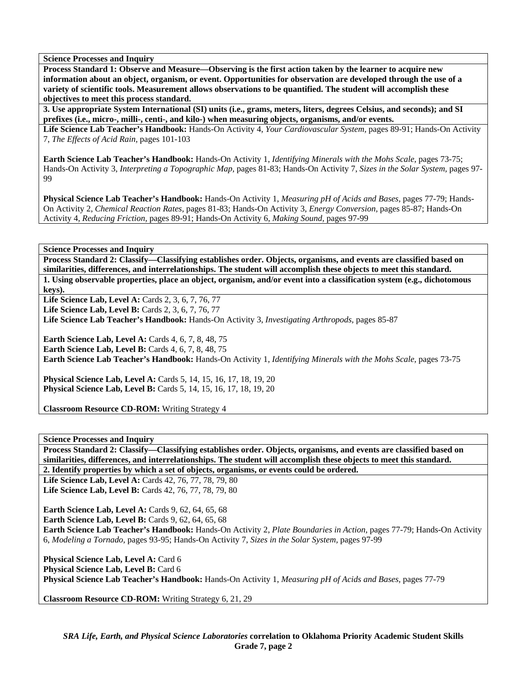**Process Standard 1: Observe and Measure—Observing is the first action taken by the learner to acquire new information about an object, organism, or event. Opportunities for observation are developed through the use of a variety of scientific tools. Measurement allows observations to be quantified. The student will accomplish these objectives to meet this process standard.** 

**3. Use appropriate System International (SI) units (i.e., grams, meters, liters, degrees Celsius, and seconds); and SI prefixes (i.e., micro-, milli-, centi-, and kilo-) when measuring objects, organisms, and/or events.** 

**Life Science Lab Teacher's Handbook:** Hands-On Activity 4, *Your Cardiovascular System,* pages 89-91; Hands-On Activity 7, *The Effects of Acid Rain,* pages 101-103

**Earth Science Lab Teacher's Handbook:** Hands-On Activity 1, *Identifying Minerals with the Mohs Scale,* pages 73-75; Hands-On Activity 3, *Interpreting a Topographic Map,* pages 81-83; Hands-On Activity 7, *Sizes in the Solar System,* pages 97- **99** 

**Physical Science Lab Teacher's Handbook:** Hands-On Activity 1, *Measuring pH of Acids and Bases,* pages 77-79; Hands-On Activity 2, *Chemical Reaction Rates,* pages 81-83; Hands-On Activity 3, *Energy Conversion,* pages 85-87; Hands-On Activity 4, *Reducing Friction,* pages 89-91; Hands-On Activity 6, *Making Sound,* pages 97-99

**Science Processes and Inquiry** 

**Process Standard 2: Classify—Classifying establishes order. Objects, organisms, and events are classified based on similarities, differences, and interrelationships. The student will accomplish these objects to meet this standard. 1. Using observable properties, place an object, organism, and/or event into a classification system (e.g., dichotomous keys).** 

**Life Science Lab, Level A: Cards 2, 3, 6, 7, 76, 77** 

**Life Science Lab, Level B: Cards 2, 3, 6, 7, 76, 77** 

**Life Science Lab Teacher's Handbook:** Hands-On Activity 3, *Investigating Arthropods,* pages 85-87

**Earth Science Lab, Level A: Cards 4, 6, 7, 8, 48, 75 Earth Science Lab, Level B:** Cards 4, 6, 7, 8, 48, 75 **Earth Science Lab Teacher's Handbook:** Hands-On Activity 1, *Identifying Minerals with the Mohs Scale,* pages 73-75

**Physical Science Lab, Level A:** Cards 5, 14, 15, 16, 17, 18, 19, 20 **Physical Science Lab, Level B:** Cards 5, 14, 15, 16, 17, 18, 19, 20

**Classroom Resource CD-ROM:** Writing Strategy 4

**Science Processes and Inquiry** 

**Process Standard 2: Classify—Classifying establishes order. Objects, organisms, and events are classified based on similarities, differences, and interrelationships. The student will accomplish these objects to meet this standard.** 

**2. Identify properties by which a set of objects, organisms, or events could be ordered.** 

**Life Science Lab, Level A: Cards 42, 76, 77, 78, 79, 80 Life Science Lab, Level B:** Cards 42, 76, 77, 78, 79, 80

**Earth Science Lab, Level A: Cards 9, 62, 64, 65, 68 Earth Science Lab, Level B: Cards 9, 62, 64, 65, 68 Earth Science Lab Teacher's Handbook:** Hands-On Activity 2, *Plate Boundaries in Action,* pages 77-79; Hands-On Activity 6, *Modeling a Tornado,* pages 93-95; Hands-On Activity 7, *Sizes in the Solar System,* pages 97-99

Physical Science Lab, Level A: Card 6 Physical Science Lab, Level B: Card 6 **Physical Science Lab Teacher's Handbook:** Hands-On Activity 1, *Measuring pH of Acids and Bases,* pages 77-79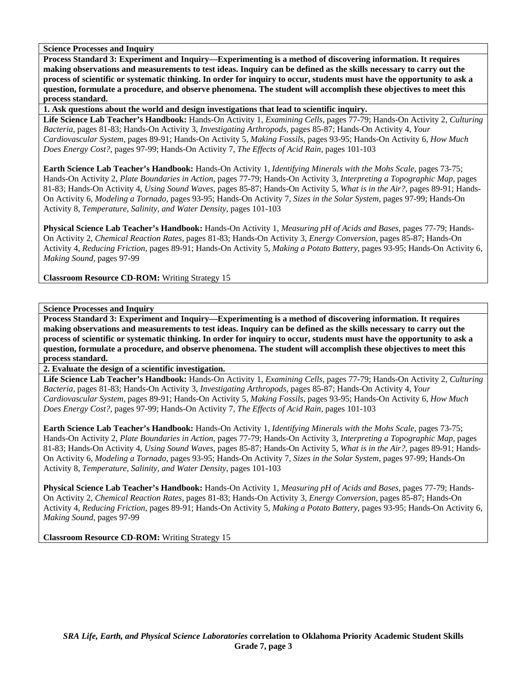**Process Standard 3: Experiment and Inquiry—Experimenting is a method of discovering information. It requires making observations and measurements to test ideas. Inquiry can be defined as the skills necessary to carry out the process of scientific or systematic thinking. In order for inquiry to occur, students must have the opportunity to ask a question, formulate a procedure, and observe phenomena. The student will accomplish these objectives to meet this process standard.** 

**1. Ask questions about the world and design investigations that lead to scientific inquiry.** 

**Life Science Lab Teacher's Handbook:** Hands-On Activity 1, *Examining Cells,* pages 77-79; Hands-On Activity 2, *Culturing Bacteria,* pages 81-83; Hands-On Activity 3, *Investigating Arthropods,* pages 85-87; Hands-On Activity 4, *Your Cardiovascular System,* pages 89-91; Hands-On Activity 5, *Making Fossils,* pages 93-95; Hands-On Activity 6, *How Much Does Energy Cost?,* pages 97-99; Hands-On Activity 7, *The Effects of Acid Rain,* pages 101-103

**Earth Science Lab Teacher's Handbook:** Hands-On Activity 1, *Identifying Minerals with the Mohs Scale,* pages 73-75; Hands-On Activity 2, *Plate Boundaries in Action,* pages 77-79; Hands-On Activity 3, *Interpreting a Topographic Map,* pages 81-83; Hands-On Activity 4, *Using Sound Waves,* pages 85-87; Hands-On Activity 5, *What is in the Air?,* pages 89-91; Hands-On Activity 6, *Modeling a Tornado,* pages 93-95; Hands-On Activity 7, *Sizes in the Solar System,* pages 97-99; Hands-On Activity 8, *Temperature, Salinity, and Water Density,* pages 101-103

**Physical Science Lab Teacher's Handbook:** Hands-On Activity 1, *Measuring pH of Acids and Bases,* pages 77-79; Hands-On Activity 2, *Chemical Reaction Rates,* pages 81-83; Hands-On Activity 3, *Energy Conversion,* pages 85-87; Hands-On Activity 4, *Reducing Friction,* pages 89-91; Hands-On Activity 5, *Making a Potato Battery,* pages 93-95; Hands-On Activity 6, *Making Sound,* pages 97-99

**Classroom Resource CD-ROM:** Writing Strategy 15

# **Science Processes and Inquiry**

**Process Standard 3: Experiment and Inquiry—Experimenting is a method of discovering information. It requires making observations and measurements to test ideas. Inquiry can be defined as the skills necessary to carry out the process of scientific or systematic thinking. In order for inquiry to occur, students must have the opportunity to ask a question, formulate a procedure, and observe phenomena. The student will accomplish these objectives to meet this process standard.** 

**2. Evaluate the design of a scientific investigation.** 

**Life Science Lab Teacher's Handbook:** Hands-On Activity 1, *Examining Cells,* pages 77-79; Hands-On Activity 2, *Culturing Bacteria,* pages 81-83; Hands-On Activity 3, *Investigating Arthropods,* pages 85-87; Hands-On Activity 4, *Your Cardiovascular System,* pages 89-91; Hands-On Activity 5, *Making Fossils,* pages 93-95; Hands-On Activity 6, *How Much Does Energy Cost?,* pages 97-99; Hands-On Activity 7, *The Effects of Acid Rain,* pages 101-103

**Earth Science Lab Teacher's Handbook:** Hands-On Activity 1, *Identifying Minerals with the Mohs Scale,* pages 73-75; Hands-On Activity 2, *Plate Boundaries in Action,* pages 77-79; Hands-On Activity 3, *Interpreting a Topographic Map,* pages 81-83; Hands-On Activity 4, *Using Sound Waves,* pages 85-87; Hands-On Activity 5, *What is in the Air?,* pages 89-91; Hands-On Activity 6, *Modeling a Tornado,* pages 93-95; Hands-On Activity 7, *Sizes in the Solar System,* pages 97-99; Hands-On Activity 8, *Temperature, Salinity, and Water Density,* pages 101-103

**Physical Science Lab Teacher's Handbook:** Hands-On Activity 1, *Measuring pH of Acids and Bases,* pages 77-79; Hands-On Activity 2, *Chemical Reaction Rates,* pages 81-83; Hands-On Activity 3, *Energy Conversion,* pages 85-87; Hands-On Activity 4, *Reducing Friction,* pages 89-91; Hands-On Activity 5, *Making a Potato Battery,* pages 93-95; Hands-On Activity 6, *Making Sound,* pages 97-99

**Classroom Resource CD-ROM:** Writing Strategy 15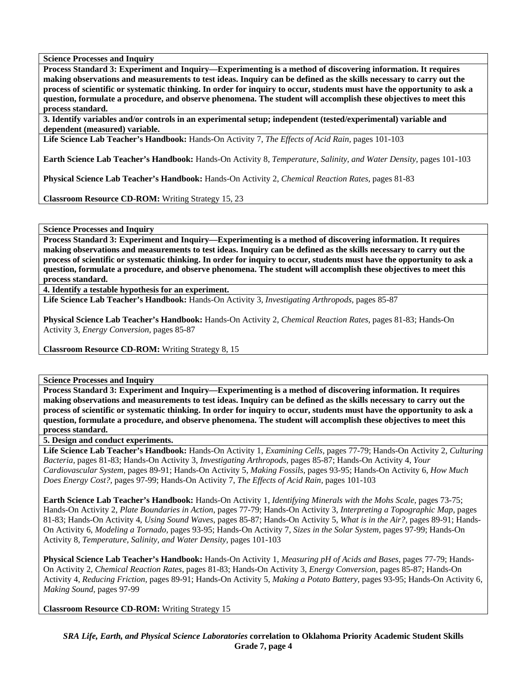**Process Standard 3: Experiment and Inquiry—Experimenting is a method of discovering information. It requires making observations and measurements to test ideas. Inquiry can be defined as the skills necessary to carry out the process of scientific or systematic thinking. In order for inquiry to occur, students must have the opportunity to ask a question, formulate a procedure, and observe phenomena. The student will accomplish these objectives to meet this process standard.** 

**3. Identify variables and/or controls in an experimental setup; independent (tested/experimental) variable and dependent (measured) variable.** 

**Life Science Lab Teacher's Handbook:** Hands-On Activity 7, *The Effects of Acid Rain,* pages 101-103

**Earth Science Lab Teacher's Handbook:** Hands-On Activity 8, *Temperature, Salinity, and Water Density,* pages 101-103

**Physical Science Lab Teacher's Handbook:** Hands-On Activity 2, *Chemical Reaction Rates,* pages 81-83

**Classroom Resource CD-ROM:** Writing Strategy 15, 23

**Science Processes and Inquiry** 

**Process Standard 3: Experiment and Inquiry—Experimenting is a method of discovering information. It requires making observations and measurements to test ideas. Inquiry can be defined as the skills necessary to carry out the process of scientific or systematic thinking. In order for inquiry to occur, students must have the opportunity to ask a question, formulate a procedure, and observe phenomena. The student will accomplish these objectives to meet this process standard.** 

**4. Identify a testable hypothesis for an experiment.** 

**Life Science Lab Teacher's Handbook:** Hands-On Activity 3, *Investigating Arthropods,* pages 85-87

**Physical Science Lab Teacher's Handbook:** Hands-On Activity 2, *Chemical Reaction Rates,* pages 81-83; Hands-On Activity 3, *Energy Conversion,* pages 85-87

**Classroom Resource CD-ROM:** Writing Strategy 8, 15

**Science Processes and Inquiry** 

**Process Standard 3: Experiment and Inquiry—Experimenting is a method of discovering information. It requires making observations and measurements to test ideas. Inquiry can be defined as the skills necessary to carry out the process of scientific or systematic thinking. In order for inquiry to occur, students must have the opportunity to ask a question, formulate a procedure, and observe phenomena. The student will accomplish these objectives to meet this process standard.** 

**5. Design and conduct experiments.** 

**Life Science Lab Teacher's Handbook:** Hands-On Activity 1, *Examining Cells,* pages 77-79; Hands-On Activity 2, *Culturing Bacteria,* pages 81-83; Hands-On Activity 3, *Investigating Arthropods,* pages 85-87; Hands-On Activity 4, *Your Cardiovascular System,* pages 89-91; Hands-On Activity 5, *Making Fossils,* pages 93-95; Hands-On Activity 6, *How Much Does Energy Cost?,* pages 97-99; Hands-On Activity 7, *The Effects of Acid Rain,* pages 101-103

**Earth Science Lab Teacher's Handbook:** Hands-On Activity 1, *Identifying Minerals with the Mohs Scale,* pages 73-75; Hands-On Activity 2, *Plate Boundaries in Action,* pages 77-79; Hands-On Activity 3, *Interpreting a Topographic Map,* pages 81-83; Hands-On Activity 4, *Using Sound Waves,* pages 85-87; Hands-On Activity 5, *What is in the Air?,* pages 89-91; Hands-On Activity 6, *Modeling a Tornado,* pages 93-95; Hands-On Activity 7, *Sizes in the Solar System,* pages 97-99; Hands-On Activity 8, *Temperature, Salinity, and Water Density,* pages 101-103

**Physical Science Lab Teacher's Handbook:** Hands-On Activity 1, *Measuring pH of Acids and Bases,* pages 77-79; Hands-On Activity 2, *Chemical Reaction Rates,* pages 81-83; Hands-On Activity 3, *Energy Conversion,* pages 85-87; Hands-On Activity 4, *Reducing Friction,* pages 89-91; Hands-On Activity 5, *Making a Potato Battery,* pages 93-95; Hands-On Activity 6, *Making Sound,* pages 97-99

**Classroom Resource CD-ROM:** Writing Strategy 15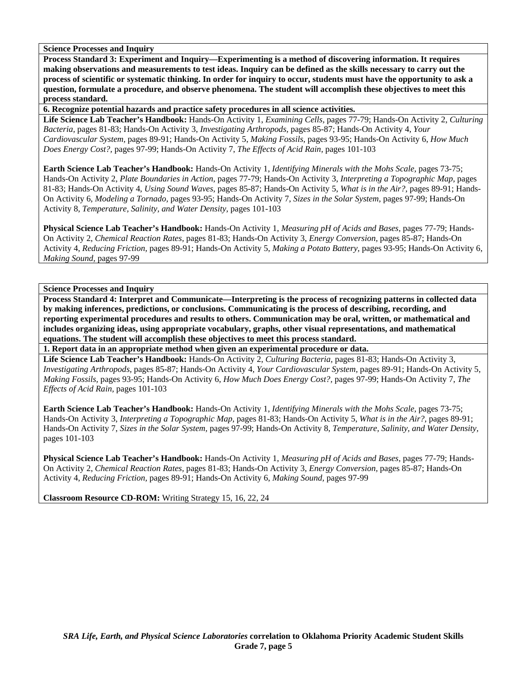**Process Standard 3: Experiment and Inquiry—Experimenting is a method of discovering information. It requires making observations and measurements to test ideas. Inquiry can be defined as the skills necessary to carry out the process of scientific or systematic thinking. In order for inquiry to occur, students must have the opportunity to ask a question, formulate a procedure, and observe phenomena. The student will accomplish these objectives to meet this process standard.** 

**6. Recognize potential hazards and practice safety procedures in all science activities.** 

**Life Science Lab Teacher's Handbook:** Hands-On Activity 1, *Examining Cells,* pages 77-79; Hands-On Activity 2, *Culturing Bacteria,* pages 81-83; Hands-On Activity 3, *Investigating Arthropods,* pages 85-87; Hands-On Activity 4, *Your Cardiovascular System,* pages 89-91; Hands-On Activity 5, *Making Fossils,* pages 93-95; Hands-On Activity 6, *How Much Does Energy Cost?,* pages 97-99; Hands-On Activity 7, *The Effects of Acid Rain,* pages 101-103

**Earth Science Lab Teacher's Handbook:** Hands-On Activity 1, *Identifying Minerals with the Mohs Scale,* pages 73-75; Hands-On Activity 2, *Plate Boundaries in Action,* pages 77-79; Hands-On Activity 3, *Interpreting a Topographic Map,* pages 81-83; Hands-On Activity 4, *Using Sound Waves,* pages 85-87; Hands-On Activity 5, *What is in the Air?,* pages 89-91; Hands-On Activity 6, *Modeling a Tornado,* pages 93-95; Hands-On Activity 7, *Sizes in the Solar System,* pages 97-99; Hands-On Activity 8, *Temperature, Salinity, and Water Density,* pages 101-103

**Physical Science Lab Teacher's Handbook:** Hands-On Activity 1, *Measuring pH of Acids and Bases,* pages 77-79; Hands-On Activity 2, *Chemical Reaction Rates,* pages 81-83; Hands-On Activity 3, *Energy Conversion,* pages 85-87; Hands-On Activity 4, *Reducing Friction,* pages 89-91; Hands-On Activity 5, *Making a Potato Battery,* pages 93-95; Hands-On Activity 6, *Making Sound,* pages 97-99

**Science Processes and Inquiry** 

**Process Standard 4: Interpret and Communicate—Interpreting is the process of recognizing patterns in collected data by making inferences, predictions, or conclusions. Communicating is the process of describing, recording, and reporting experimental procedures and results to others. Communication may be oral, written, or mathematical and includes organizing ideas, using appropriate vocabulary, graphs, other visual representations, and mathematical equations. The student will accomplish these objectives to meet this process standard.** 

**1. Report data in an appropriate method when given an experimental procedure or data.** 

**Life Science Lab Teacher's Handbook:** Hands-On Activity 2, *Culturing Bacteria,* pages 81-83; Hands-On Activity 3, *Investigating Arthropods,* pages 85-87; Hands-On Activity 4, *Your Cardiovascular System,* pages 89-91; Hands-On Activity 5, *Making Fossils,* pages 93-95; Hands-On Activity 6, *How Much Does Energy Cost?,* pages 97-99; Hands-On Activity 7, *The Effects of Acid Rain,* pages 101-103

**Earth Science Lab Teacher's Handbook:** Hands-On Activity 1, *Identifying Minerals with the Mohs Scale,* pages 73-75; Hands-On Activity 3, *Interpreting a Topographic Map,* pages 81-83; Hands-On Activity 5, *What is in the Air?,* pages 89-91; Hands-On Activity 7, *Sizes in the Solar System,* pages 97-99; Hands-On Activity 8, *Temperature, Salinity, and Water Density,* pages 101-103

**Physical Science Lab Teacher's Handbook:** Hands-On Activity 1, *Measuring pH of Acids and Bases,* pages 77-79; Hands-On Activity 2, *Chemical Reaction Rates,* pages 81-83; Hands-On Activity 3, *Energy Conversion,* pages 85-87; Hands-On Activity 4, *Reducing Friction,* pages 89-91; Hands-On Activity 6, *Making Sound,* pages 97-99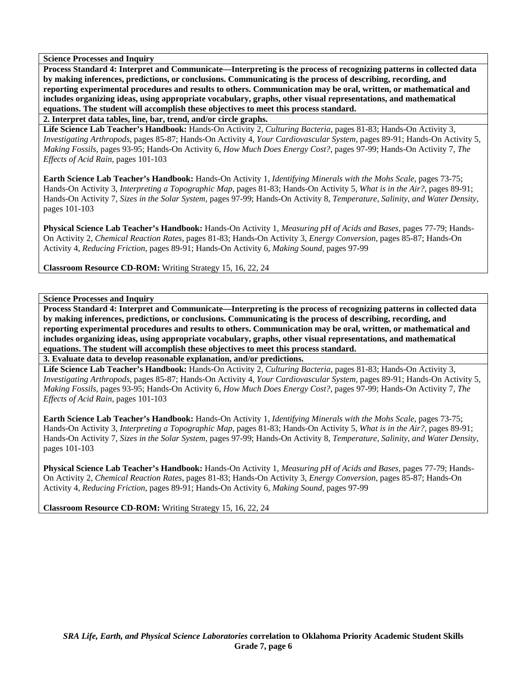**Process Standard 4: Interpret and Communicate—Interpreting is the process of recognizing patterns in collected data by making inferences, predictions, or conclusions. Communicating is the process of describing, recording, and reporting experimental procedures and results to others. Communication may be oral, written, or mathematical and includes organizing ideas, using appropriate vocabulary, graphs, other visual representations, and mathematical equations. The student will accomplish these objectives to meet this process standard.** 

**2. Interpret data tables, line, bar, trend, and/or circle graphs.** 

**Life Science Lab Teacher's Handbook:** Hands-On Activity 2, *Culturing Bacteria,* pages 81-83; Hands-On Activity 3, *Investigating Arthropods,* pages 85-87; Hands-On Activity 4, *Your Cardiovascular System,* pages 89-91; Hands-On Activity 5, *Making Fossils,* pages 93-95; Hands-On Activity 6, *How Much Does Energy Cost?,* pages 97-99; Hands-On Activity 7, *The Effects of Acid Rain,* pages 101-103

**Earth Science Lab Teacher's Handbook:** Hands-On Activity 1, *Identifying Minerals with the Mohs Scale,* pages 73-75; Hands-On Activity 3, *Interpreting a Topographic Map,* pages 81-83; Hands-On Activity 5, *What is in the Air?,* pages 89-91; Hands-On Activity 7, *Sizes in the Solar System,* pages 97-99; Hands-On Activity 8, *Temperature, Salinity, and Water Density,* pages 101-103

**Physical Science Lab Teacher's Handbook:** Hands-On Activity 1, *Measuring pH of Acids and Bases,* pages 77-79; Hands-On Activity 2, *Chemical Reaction Rates,* pages 81-83; Hands-On Activity 3, *Energy Conversion,* pages 85-87; Hands-On Activity 4, *Reducing Friction,* pages 89-91; Hands-On Activity 6, *Making Sound,* pages 97-99

**Classroom Resource CD-ROM:** Writing Strategy 15, 16, 22, 24

**Science Processes and Inquiry** 

**Process Standard 4: Interpret and Communicate—Interpreting is the process of recognizing patterns in collected data by making inferences, predictions, or conclusions. Communicating is the process of describing, recording, and reporting experimental procedures and results to others. Communication may be oral, written, or mathematical and includes organizing ideas, using appropriate vocabulary, graphs, other visual representations, and mathematical equations. The student will accomplish these objectives to meet this process standard.** 

**3. Evaluate data to develop reasonable explanation, and/or predictions.** 

**Life Science Lab Teacher's Handbook:** Hands-On Activity 2, *Culturing Bacteria,* pages 81-83; Hands-On Activity 3, *Investigating Arthropods,* pages 85-87; Hands-On Activity 4, *Your Cardiovascular System,* pages 89-91; Hands-On Activity 5, *Making Fossils,* pages 93-95; Hands-On Activity 6, *How Much Does Energy Cost?,* pages 97-99; Hands-On Activity 7, *The Effects of Acid Rain,* pages 101-103

**Earth Science Lab Teacher's Handbook:** Hands-On Activity 1, *Identifying Minerals with the Mohs Scale,* pages 73-75; Hands-On Activity 3, *Interpreting a Topographic Map,* pages 81-83; Hands-On Activity 5, *What is in the Air?,* pages 89-91; Hands-On Activity 7, *Sizes in the Solar System,* pages 97-99; Hands-On Activity 8, *Temperature, Salinity, and Water Density,* pages 101-103

**Physical Science Lab Teacher's Handbook:** Hands-On Activity 1, *Measuring pH of Acids and Bases,* pages 77-79; Hands-On Activity 2, *Chemical Reaction Rates,* pages 81-83; Hands-On Activity 3, *Energy Conversion,* pages 85-87; Hands-On Activity 4, *Reducing Friction,* pages 89-91; Hands-On Activity 6, *Making Sound,* pages 97-99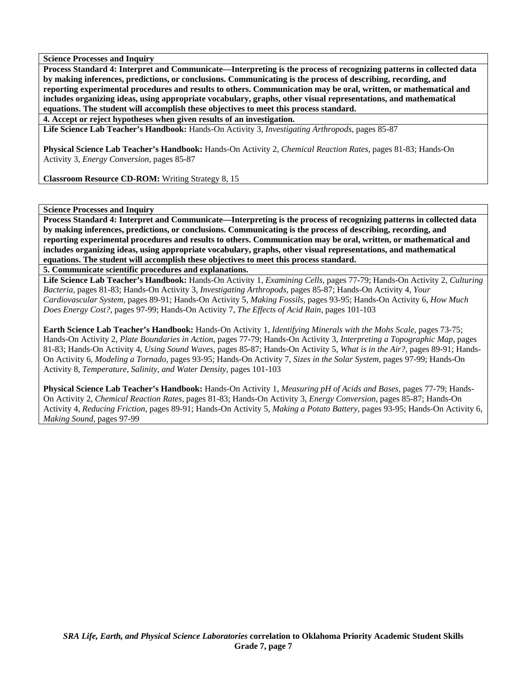**Process Standard 4: Interpret and Communicate—Interpreting is the process of recognizing patterns in collected data by making inferences, predictions, or conclusions. Communicating is the process of describing, recording, and reporting experimental procedures and results to others. Communication may be oral, written, or mathematical and includes organizing ideas, using appropriate vocabulary, graphs, other visual representations, and mathematical equations. The student will accomplish these objectives to meet this process standard.** 

**4. Accept or reject hypotheses when given results of an investigation.** 

**Life Science Lab Teacher's Handbook:** Hands-On Activity 3, *Investigating Arthropods,* pages 85-87

**Physical Science Lab Teacher's Handbook:** Hands-On Activity 2, *Chemical Reaction Rates,* pages 81-83; Hands-On Activity 3, *Energy Conversion,* pages 85-87

**Classroom Resource CD-ROM:** Writing Strategy 8, 15

## **Science Processes and Inquiry**

**Process Standard 4: Interpret and Communicate—Interpreting is the process of recognizing patterns in collected data by making inferences, predictions, or conclusions. Communicating is the process of describing, recording, and reporting experimental procedures and results to others. Communication may be oral, written, or mathematical and includes organizing ideas, using appropriate vocabulary, graphs, other visual representations, and mathematical equations. The student will accomplish these objectives to meet this process standard.** 

**5. Communicate scientific procedures and explanations.** 

**Life Science Lab Teacher's Handbook:** Hands-On Activity 1, *Examining Cells,* pages 77-79; Hands-On Activity 2, *Culturing Bacteria,* pages 81-83; Hands-On Activity 3, *Investigating Arthropods,* pages 85-87; Hands-On Activity 4, *Your Cardiovascular System,* pages 89-91; Hands-On Activity 5, *Making Fossils,* pages 93-95; Hands-On Activity 6, *How Much Does Energy Cost?,* pages 97-99; Hands-On Activity 7, *The Effects of Acid Rain,* pages 101-103

**Earth Science Lab Teacher's Handbook:** Hands-On Activity 1, *Identifying Minerals with the Mohs Scale,* pages 73-75; Hands-On Activity 2, *Plate Boundaries in Action,* pages 77-79; Hands-On Activity 3, *Interpreting a Topographic Map,* pages 81-83; Hands-On Activity 4, *Using Sound Waves,* pages 85-87; Hands-On Activity 5, *What is in the Air?,* pages 89-91; Hands-On Activity 6, *Modeling a Tornado,* pages 93-95; Hands-On Activity 7, *Sizes in the Solar System,* pages 97-99; Hands-On Activity 8, *Temperature, Salinity, and Water Density,* pages 101-103

**Physical Science Lab Teacher's Handbook:** Hands-On Activity 1, *Measuring pH of Acids and Bases,* pages 77-79; Hands-On Activity 2, *Chemical Reaction Rates,* pages 81-83; Hands-On Activity 3, *Energy Conversion,* pages 85-87; Hands-On Activity 4, *Reducing Friction,* pages 89-91; Hands-On Activity 5, *Making a Potato Battery,* pages 93-95; Hands-On Activity 6, *Making Sound,* pages 97-99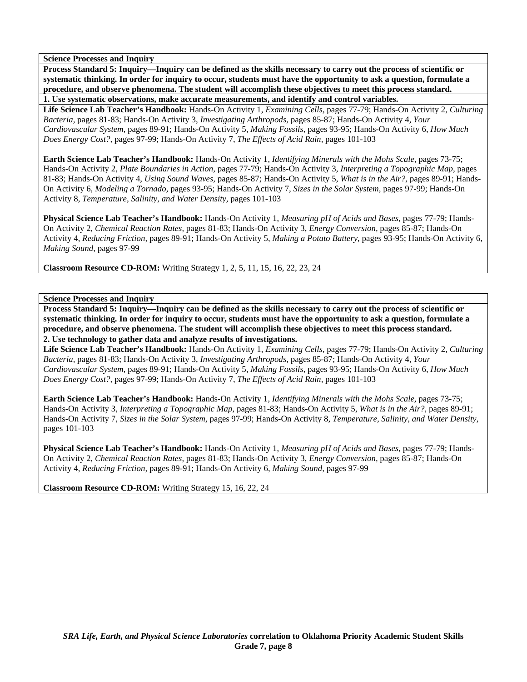**Process Standard 5: Inquiry—Inquiry can be defined as the skills necessary to carry out the process of scientific or systematic thinking. In order for inquiry to occur, students must have the opportunity to ask a question, formulate a procedure, and observe phenomena. The student will accomplish these objectives to meet this process standard.** 

**1. Use systematic observations, make accurate measurements, and identify and control variables.** 

**Life Science Lab Teacher's Handbook:** Hands-On Activity 1, *Examining Cells,* pages 77-79; Hands-On Activity 2, *Culturing Bacteria,* pages 81-83; Hands-On Activity 3, *Investigating Arthropods,* pages 85-87; Hands-On Activity 4, *Your Cardiovascular System,* pages 89-91; Hands-On Activity 5, *Making Fossils,* pages 93-95; Hands-On Activity 6, *How Much Does Energy Cost?,* pages 97-99; Hands-On Activity 7, *The Effects of Acid Rain,* pages 101-103

**Earth Science Lab Teacher's Handbook:** Hands-On Activity 1, *Identifying Minerals with the Mohs Scale,* pages 73-75; Hands-On Activity 2, *Plate Boundaries in Action,* pages 77-79; Hands-On Activity 3, *Interpreting a Topographic Map,* pages 81-83; Hands-On Activity 4, *Using Sound Waves,* pages 85-87; Hands-On Activity 5, *What is in the Air?,* pages 89-91; Hands-On Activity 6, *Modeling a Tornado,* pages 93-95; Hands-On Activity 7, *Sizes in the Solar System,* pages 97-99; Hands-On Activity 8, *Temperature, Salinity, and Water Density,* pages 101-103

**Physical Science Lab Teacher's Handbook:** Hands-On Activity 1, *Measuring pH of Acids and Bases,* pages 77-79; Hands-On Activity 2, *Chemical Reaction Rates,* pages 81-83; Hands-On Activity 3, *Energy Conversion,* pages 85-87; Hands-On Activity 4, *Reducing Friction,* pages 89-91; Hands-On Activity 5, *Making a Potato Battery,* pages 93-95; Hands-On Activity 6, *Making Sound,* pages 97-99

**Classroom Resource CD-ROM:** Writing Strategy 1, 2, 5, 11, 15, 16, 22, 23, 24

**Science Processes and Inquiry** 

**Process Standard 5: Inquiry—Inquiry can be defined as the skills necessary to carry out the process of scientific or systematic thinking. In order for inquiry to occur, students must have the opportunity to ask a question, formulate a procedure, and observe phenomena. The student will accomplish these objectives to meet this process standard. 2. Use technology to gather data and analyze results of investigations.** 

**Life Science Lab Teacher's Handbook:** Hands-On Activity 1, *Examining Cells,* pages 77-79; Hands-On Activity 2, *Culturing Bacteria,* pages 81-83; Hands-On Activity 3, *Investigating Arthropods,* pages 85-87; Hands-On Activity 4, *Your Cardiovascular System,* pages 89-91; Hands-On Activity 5, *Making Fossils,* pages 93-95; Hands-On Activity 6, *How Much Does Energy Cost?,* pages 97-99; Hands-On Activity 7, *The Effects of Acid Rain,* pages 101-103

**Earth Science Lab Teacher's Handbook:** Hands-On Activity 1, *Identifying Minerals with the Mohs Scale,* pages 73-75; Hands-On Activity 3, *Interpreting a Topographic Map,* pages 81-83; Hands-On Activity 5, *What is in the Air?,* pages 89-91; Hands-On Activity 7, *Sizes in the Solar System,* pages 97-99; Hands-On Activity 8, *Temperature, Salinity, and Water Density,* pages 101-103

**Physical Science Lab Teacher's Handbook:** Hands-On Activity 1, *Measuring pH of Acids and Bases,* pages 77-79; Hands-On Activity 2, *Chemical Reaction Rates,* pages 81-83; Hands-On Activity 3, *Energy Conversion,* pages 85-87; Hands-On Activity 4, *Reducing Friction,* pages 89-91; Hands-On Activity 6, *Making Sound,* pages 97-99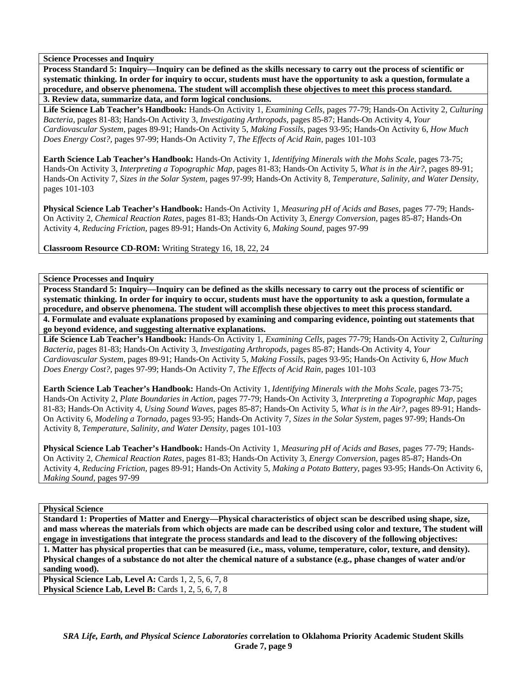**Process Standard 5: Inquiry—Inquiry can be defined as the skills necessary to carry out the process of scientific or systematic thinking. In order for inquiry to occur, students must have the opportunity to ask a question, formulate a procedure, and observe phenomena. The student will accomplish these objectives to meet this process standard.** 

**3. Review data, summarize data, and form logical conclusions.** 

**Life Science Lab Teacher's Handbook:** Hands-On Activity 1, *Examining Cells,* pages 77-79; Hands-On Activity 2, *Culturing Bacteria,* pages 81-83; Hands-On Activity 3, *Investigating Arthropods,* pages 85-87; Hands-On Activity 4, *Your Cardiovascular System,* pages 89-91; Hands-On Activity 5, *Making Fossils,* pages 93-95; Hands-On Activity 6, *How Much Does Energy Cost?,* pages 97-99; Hands-On Activity 7, *The Effects of Acid Rain,* pages 101-103

**Earth Science Lab Teacher's Handbook:** Hands-On Activity 1, *Identifying Minerals with the Mohs Scale,* pages 73-75; Hands-On Activity 3, *Interpreting a Topographic Map,* pages 81-83; Hands-On Activity 5, *What is in the Air?,* pages 89-91; Hands-On Activity 7, *Sizes in the Solar System,* pages 97-99; Hands-On Activity 8, *Temperature, Salinity, and Water Density,* pages 101-103

**Physical Science Lab Teacher's Handbook:** Hands-On Activity 1, *Measuring pH of Acids and Bases,* pages 77-79; Hands-On Activity 2, *Chemical Reaction Rates,* pages 81-83; Hands-On Activity 3, *Energy Conversion,* pages 85-87; Hands-On Activity 4, *Reducing Friction,* pages 89-91; Hands-On Activity 6, *Making Sound,* pages 97-99

**Classroom Resource CD-ROM:** Writing Strategy 16, 18, 22, 24

## **Science Processes and Inquiry**

**Process Standard 5: Inquiry—Inquiry can be defined as the skills necessary to carry out the process of scientific or systematic thinking. In order for inquiry to occur, students must have the opportunity to ask a question, formulate a procedure, and observe phenomena. The student will accomplish these objectives to meet this process standard. 4. Formulate and evaluate explanations proposed by examining and comparing evidence, pointing out statements that** 

**go beyond evidence, and suggesting alternative explanations. Life Science Lab Teacher's Handbook:** Hands-On Activity 1, *Examining Cells,* pages 77-79; Hands-On Activity 2, *Culturing Bacteria,* pages 81-83; Hands-On Activity 3, *Investigating Arthropods,* pages 85-87; Hands-On Activity 4, *Your Cardiovascular System,* pages 89-91; Hands-On Activity 5, *Making Fossils,* pages 93-95; Hands-On Activity 6, *How Much Does Energy Cost?,* pages 97-99; Hands-On Activity 7, *The Effects of Acid Rain,* pages 101-103

**Earth Science Lab Teacher's Handbook:** Hands-On Activity 1, *Identifying Minerals with the Mohs Scale,* pages 73-75; Hands-On Activity 2, *Plate Boundaries in Action,* pages 77-79; Hands-On Activity 3, *Interpreting a Topographic Map,* pages 81-83; Hands-On Activity 4, *Using Sound Waves,* pages 85-87; Hands-On Activity 5, *What is in the Air?,* pages 89-91; Hands-On Activity 6, *Modeling a Tornado,* pages 93-95; Hands-On Activity 7, *Sizes in the Solar System,* pages 97-99; Hands-On Activity 8, *Temperature, Salinity, and Water Density,* pages 101-103

**Physical Science Lab Teacher's Handbook:** Hands-On Activity 1, *Measuring pH of Acids and Bases,* pages 77-79; Hands-On Activity 2, *Chemical Reaction Rates,* pages 81-83; Hands-On Activity 3, *Energy Conversion,* pages 85-87; Hands-On Activity 4, *Reducing Friction,* pages 89-91; Hands-On Activity 5, *Making a Potato Battery,* pages 93-95; Hands-On Activity 6, *Making Sound,* pages 97-99

## **Physical Science**

**Standard 1: Properties of Matter and Energy—Physical characteristics of object scan be described using shape, size, and mass whereas the materials from which objects are made can be described using color and texture, The student will engage in investigations that integrate the process standards and lead to the discovery of the following objectives: 1. Matter has physical properties that can be measured (i.e., mass, volume, temperature, color, texture, and density). Physical changes of a substance do not alter the chemical nature of a substance (e.g., phase changes of water and/or sanding wood). Physical Science Lab, Level A: Cards 1, 2, 5, 6, 7, 8** 

**Physical Science Lab, Level B:** Cards 1, 2, 5, 6, 7, 8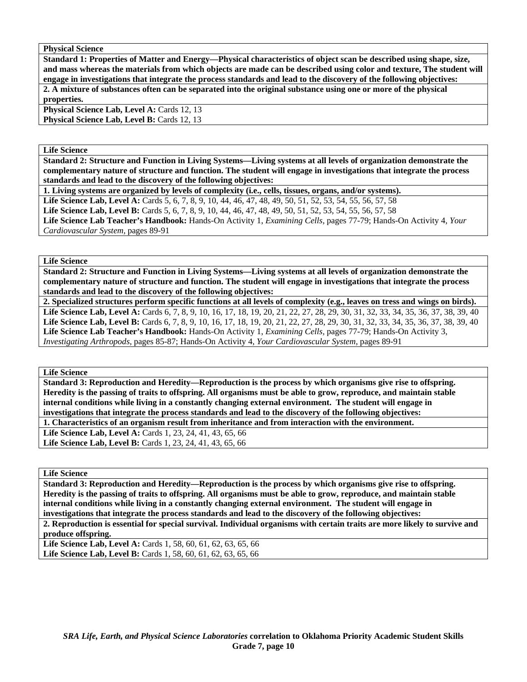**Physical Science** 

**Standard 1: Properties of Matter and Energy—Physical characteristics of object scan be described using shape, size, and mass whereas the materials from which objects are made can be described using color and texture, The student will engage in investigations that integrate the process standards and lead to the discovery of the following objectives: 2. A mixture of substances often can be separated into the original substance using one or more of the physical properties.** 

**Physical Science Lab, Level A: Cards 12, 13 Physical Science Lab, Level B: Cards 12, 13** 

#### **Life Science**

**Standard 2: Structure and Function in Living Systems—Living systems at all levels of organization demonstrate the complementary nature of structure and function. The student will engage in investigations that integrate the process standards and lead to the discovery of the following objectives:** 

**1. Living systems are organized by levels of complexity (i.e., cells, tissues, organs, and/or systems). Life Science Lab, Level A:** Cards 5, 6, 7, 8, 9, 10, 44, 46, 47, 48, 49, 50, 51, 52, 53, 54, 55, 56, 57, 58 **Life Science Lab, Level B:** Cards 5, 6, 7, 8, 9, 10, 44, 46, 47, 48, 49, 50, 51, 52, 53, 54, 55, 56, 57, 58 **Life Science Lab Teacher's Handbook:** Hands-On Activity 1, *Examining Cells,* pages 77-79; Hands-On Activity 4, *Your Cardiovascular System,* pages 89-91

**Life Science** 

**Standard 2: Structure and Function in Living Systems—Living systems at all levels of organization demonstrate the complementary nature of structure and function. The student will engage in investigations that integrate the process standards and lead to the discovery of the following objectives:** 

**2. Specialized structures perform specific functions at all levels of complexity (e.g., leaves on tress and wings on birds).**  Life Science Lab, Level A: Cards 6, 7, 8, 9, 10, 16, 17, 18, 19, 20, 21, 22, 27, 28, 29, 30, 31, 32, 33, 34, 35, 36, 37, 38, 39, 40 Life Science Lab, Level B: Cards 6, 7, 8, 9, 10, 16, 17, 18, 19, 20, 21, 22, 27, 28, 29, 30, 31, 32, 33, 34, 35, 36, 37, 38, 39, 40 **Life Science Lab Teacher's Handbook:** Hands-On Activity 1, *Examining Cells,* pages 77-79; Hands-On Activity 3, *Investigating Arthropods,* pages 85-87; Hands-On Activity 4, *Your Cardiovascular System,* pages 89-91

**Life Science** 

**Standard 3: Reproduction and Heredity—Reproduction is the process by which organisms give rise to offspring. Heredity is the passing of traits to offspring. All organisms must be able to grow, reproduce, and maintain stable internal conditions while living in a constantly changing external environment. The student will engage in investigations that integrate the process standards and lead to the discovery of the following objectives: 1. Characteristics of an organism result from inheritance and from interaction with the environment.** 

**Life Science Lab, Level A:** Cards 1, 23, 24, 41, 43, 65, 66

Life Science Lab, Level B: Cards 1, 23, 24, 41, 43, 65, 66

**Life Science** 

**Standard 3: Reproduction and Heredity—Reproduction is the process by which organisms give rise to offspring. Heredity is the passing of traits to offspring. All organisms must be able to grow, reproduce, and maintain stable internal conditions while living in a constantly changing external environment. The student will engage in investigations that integrate the process standards and lead to the discovery of the following objectives:** 

**2. Reproduction is essential for special survival. Individual organisms with certain traits are more likely to survive and produce offspring.** 

Life Science Lab, Level A: Cards 1, 58, 60, 61, 62, 63, 65, 66 Life Science Lab, Level B: Cards 1, 58, 60, 61, 62, 63, 65, 66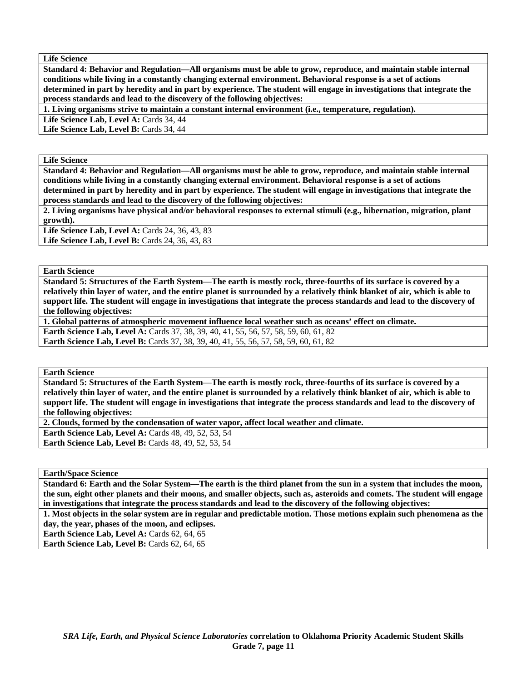**Life Science** 

**Standard 4: Behavior and Regulation—All organisms must be able to grow, reproduce, and maintain stable internal conditions while living in a constantly changing external environment. Behavioral response is a set of actions determined in part by heredity and in part by experience. The student will engage in investigations that integrate the process standards and lead to the discovery of the following objectives:** 

**1. Living organisms strive to maintain a constant internal environment (i.e., temperature, regulation).** 

Life Science Lab, Level A: Cards 34, 44

Life Science Lab, Level B: Cards 34, 44

**Life Science** 

**Standard 4: Behavior and Regulation—All organisms must be able to grow, reproduce, and maintain stable internal conditions while living in a constantly changing external environment. Behavioral response is a set of actions determined in part by heredity and in part by experience. The student will engage in investigations that integrate the process standards and lead to the discovery of the following objectives:** 

**2. Living organisms have physical and/or behavioral responses to external stimuli (e.g., hibernation, migration, plant growth).** 

Life Science Lab, Level A: Cards 24, 36, 43, 83 Life Science Lab, Level B: Cards 24, 36, 43, 83

**Earth Science** 

**Standard 5: Structures of the Earth System—The earth is mostly rock, three-fourths of its surface is covered by a relatively thin layer of water, and the entire planet is surrounded by a relatively think blanket of air, which is able to support life. The student will engage in investigations that integrate the process standards and lead to the discovery of the following objectives:** 

**1. Global patterns of atmospheric movement influence local weather such as oceans' effect on climate. Earth Science Lab, Level A: Cards 37, 38, 39, 40, 41, 55, 56, 57, 58, 59, 60, 61, 82 Earth Science Lab, Level B:** Cards 37, 38, 39, 40, 41, 55, 56, 57, 58, 59, 60, 61, 82

**Earth Science** 

**Standard 5: Structures of the Earth System—The earth is mostly rock, three-fourths of its surface is covered by a relatively thin layer of water, and the entire planet is surrounded by a relatively think blanket of air, which is able to support life. The student will engage in investigations that integrate the process standards and lead to the discovery of the following objectives:** 

**2. Clouds, formed by the condensation of water vapor, affect local weather and climate.** 

**Earth Science Lab, Level A: Cards 48, 49, 52, 53, 54 Earth Science Lab, Level B: Cards 48, 49, 52, 53, 54** 

**Earth/Space Science** 

**Standard 6: Earth and the Solar System—The earth is the third planet from the sun in a system that includes the moon, the sun, eight other planets and their moons, and smaller objects, such as, asteroids and comets. The student will engage in investigations that integrate the process standards and lead to the discovery of the following objectives:** 

**1. Most objects in the solar system are in regular and predictable motion. Those motions explain such phenomena as the day, the year, phases of the moon, and eclipses.** 

**Earth Science Lab, Level A: Cards 62, 64, 65** 

Earth Science Lab, Level B: Cards 62, 64, 65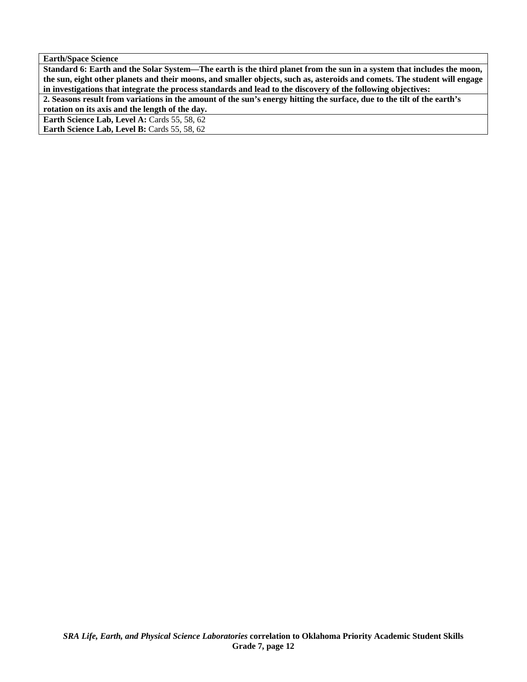**Earth/Space Science** 

**Standard 6: Earth and the Solar System—The earth is the third planet from the sun in a system that includes the moon, the sun, eight other planets and their moons, and smaller objects, such as, asteroids and comets. The student will engage in investigations that integrate the process standards and lead to the discovery of the following objectives:** 

**2. Seasons result from variations in the amount of the sun's energy hitting the surface, due to the tilt of the earth's rotation on its axis and the length of the day.** 

**Earth Science Lab, Level A: Cards 55, 58, 62** 

Earth Science Lab, Level B: Cards 55, 58, 62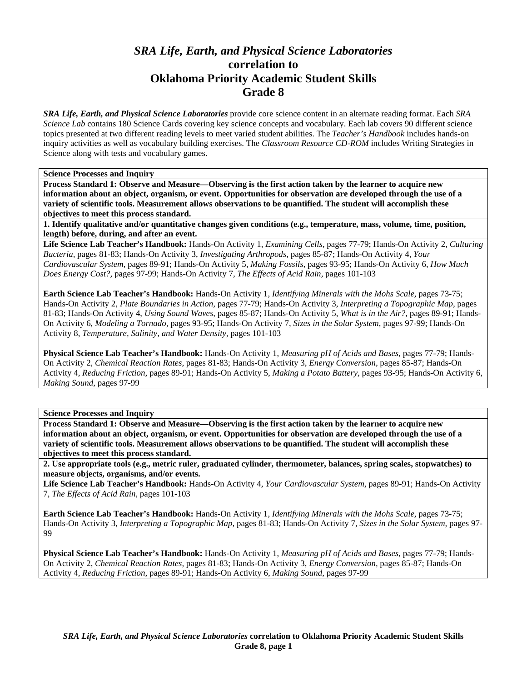# *SRA Life, Earth, and Physical Science Laboratories*  **correlation to Oklahoma Priority Academic Student Skills Grade 8**

*SRA Life, Earth, and Physical Science Laboratories* provide core science content in an alternate reading format. Each *SRA Science Lab* contains 180 Science Cards covering key science concepts and vocabulary. Each lab covers 90 different science topics presented at two different reading levels to meet varied student abilities. The *Teacher's Handbook* includes hands-on inquiry activities as well as vocabulary building exercises. The *Classroom Resource CD-ROM* includes Writing Strategies in Science along with tests and vocabulary games.

**Science Processes and Inquiry** 

**Process Standard 1: Observe and Measure—Observing is the first action taken by the learner to acquire new information about an object, organism, or event. Opportunities for observation are developed through the use of a variety of scientific tools. Measurement allows observations to be quantified. The student will accomplish these objectives to meet this process standard.** 

**1. Identify qualitative and/or quantitative changes given conditions (e.g., temperature, mass, volume, time, position, length) before, during, and after an event.** 

**Life Science Lab Teacher's Handbook:** Hands-On Activity 1, *Examining Cells,* pages 77-79; Hands-On Activity 2, *Culturing Bacteria,* pages 81-83; Hands-On Activity 3, *Investigating Arthropods,* pages 85-87; Hands-On Activity 4, *Your Cardiovascular System,* pages 89-91; Hands-On Activity 5, *Making Fossils,* pages 93-95; Hands-On Activity 6, *How Much Does Energy Cost?,* pages 97-99; Hands-On Activity 7, *The Effects of Acid Rain,* pages 101-103

**Earth Science Lab Teacher's Handbook:** Hands-On Activity 1, *Identifying Minerals with the Mohs Scale,* pages 73-75; Hands-On Activity 2, *Plate Boundaries in Action,* pages 77-79; Hands-On Activity 3, *Interpreting a Topographic Map,* pages 81-83; Hands-On Activity 4, *Using Sound Waves,* pages 85-87; Hands-On Activity 5, *What is in the Air?,* pages 89-91; Hands-On Activity 6, *Modeling a Tornado,* pages 93-95; Hands-On Activity 7, *Sizes in the Solar System,* pages 97-99; Hands-On Activity 8, *Temperature, Salinity, and Water Density,* pages 101-103

**Physical Science Lab Teacher's Handbook:** Hands-On Activity 1, *Measuring pH of Acids and Bases,* pages 77-79; Hands-On Activity 2, *Chemical Reaction Rates,* pages 81-83; Hands-On Activity 3, *Energy Conversion,* pages 85-87; Hands-On Activity 4, *Reducing Friction,* pages 89-91; Hands-On Activity 5, *Making a Potato Battery,* pages 93-95; Hands-On Activity 6, *Making Sound,* pages 97-99

**Science Processes and Inquiry** 

**Process Standard 1: Observe and Measure—Observing is the first action taken by the learner to acquire new information about an object, organism, or event. Opportunities for observation are developed through the use of a variety of scientific tools. Measurement allows observations to be quantified. The student will accomplish these objectives to meet this process standard.** 

**2. Use appropriate tools (e.g., metric ruler, graduated cylinder, thermometer, balances, spring scales, stopwatches) to measure objects, organisms, and/or events.** 

**Life Science Lab Teacher's Handbook:** Hands-On Activity 4, *Your Cardiovascular System,* pages 89-91; Hands-On Activity 7, *The Effects of Acid Rain,* pages 101-103

**Earth Science Lab Teacher's Handbook:** Hands-On Activity 1, *Identifying Minerals with the Mohs Scale,* pages 73-75; Hands-On Activity 3, *Interpreting a Topographic Map,* pages 81-83; Hands-On Activity 7, *Sizes in the Solar System,* pages 97- 99

**Physical Science Lab Teacher's Handbook:** Hands-On Activity 1, *Measuring pH of Acids and Bases,* pages 77-79; Hands-On Activity 2, *Chemical Reaction Rates,* pages 81-83; Hands-On Activity 3, *Energy Conversion,* pages 85-87; Hands-On Activity 4, *Reducing Friction,* pages 89-91; Hands-On Activity 6, *Making Sound,* pages 97-99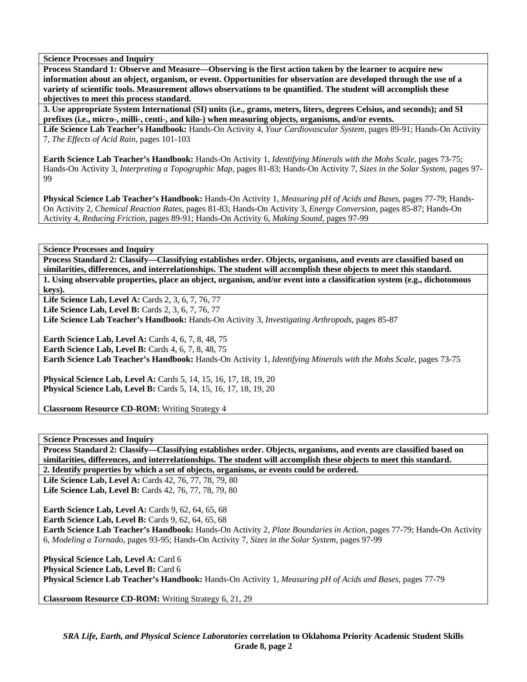**Process Standard 1: Observe and Measure—Observing is the first action taken by the learner to acquire new information about an object, organism, or event. Opportunities for observation are developed through the use of a variety of scientific tools. Measurement allows observations to be quantified. The student will accomplish these objectives to meet this process standard.** 

**3. Use appropriate System International (SI) units (i.e., grams, meters, liters, degrees Celsius, and seconds); and SI prefixes (i.e., micro-, milli-, centi-, and kilo-) when measuring objects, organisms, and/or events.** 

**Life Science Lab Teacher's Handbook:** Hands-On Activity 4, *Your Cardiovascular System,* pages 89-91; Hands-On Activity 7, *The Effects of Acid Rain,* pages 101-103

**Earth Science Lab Teacher's Handbook:** Hands-On Activity 1, *Identifying Minerals with the Mohs Scale,* pages 73-75; Hands-On Activity 3, *Interpreting a Topographic Map,* pages 81-83; Hands-On Activity 7, *Sizes in the Solar System,* pages 97- **99** 

**Physical Science Lab Teacher's Handbook:** Hands-On Activity 1, *Measuring pH of Acids and Bases,* pages 77-79; Hands-On Activity 2, *Chemical Reaction Rates,* pages 81-83; Hands-On Activity 3, *Energy Conversion,* pages 85-87; Hands-On Activity 4, *Reducing Friction,* pages 89-91; Hands-On Activity 6, *Making Sound,* pages 97-99

**Science Processes and Inquiry** 

**Process Standard 2: Classify—Classifying establishes order. Objects, organisms, and events are classified based on similarities, differences, and interrelationships. The student will accomplish these objects to meet this standard. 1. Using observable properties, place an object, organism, and/or event into a classification system (e.g., dichotomous keys).** 

**Life Science Lab, Level A: Cards 2, 3, 6, 7, 76, 77** 

**Life Science Lab, Level B: Cards 2, 3, 6, 7, 76, 77** 

**Life Science Lab Teacher's Handbook:** Hands-On Activity 3, *Investigating Arthropods,* pages 85-87

**Earth Science Lab, Level A: Cards 4, 6, 7, 8, 48, 75 Earth Science Lab, Level B:** Cards 4, 6, 7, 8, 48, 75 **Earth Science Lab Teacher's Handbook:** Hands-On Activity 1, *Identifying Minerals with the Mohs Scale,* pages 73-75

**Physical Science Lab, Level A:** Cards 5, 14, 15, 16, 17, 18, 19, 20 **Physical Science Lab, Level B:** Cards 5, 14, 15, 16, 17, 18, 19, 20

**Classroom Resource CD-ROM:** Writing Strategy 4

**Science Processes and Inquiry** 

**Process Standard 2: Classify—Classifying establishes order. Objects, organisms, and events are classified based on similarities, differences, and interrelationships. The student will accomplish these objects to meet this standard.** 

**2. Identify properties by which a set of objects, organisms, or events could be ordered.** 

**Life Science Lab, Level A: Cards 42, 76, 77, 78, 79, 80 Life Science Lab, Level B:** Cards 42, 76, 77, 78, 79, 80

**Earth Science Lab, Level A: Cards 9, 62, 64, 65, 68 Earth Science Lab, Level B: Cards 9, 62, 64, 65, 68 Earth Science Lab Teacher's Handbook:** Hands-On Activity 2, *Plate Boundaries in Action,* pages 77-79; Hands-On Activity 6, *Modeling a Tornado,* pages 93-95; Hands-On Activity 7, *Sizes in the Solar System,* pages 97-99

Physical Science Lab, Level A: Card 6 Physical Science Lab, Level B: Card 6 **Physical Science Lab Teacher's Handbook:** Hands-On Activity 1, *Measuring pH of Acids and Bases,* pages 77-79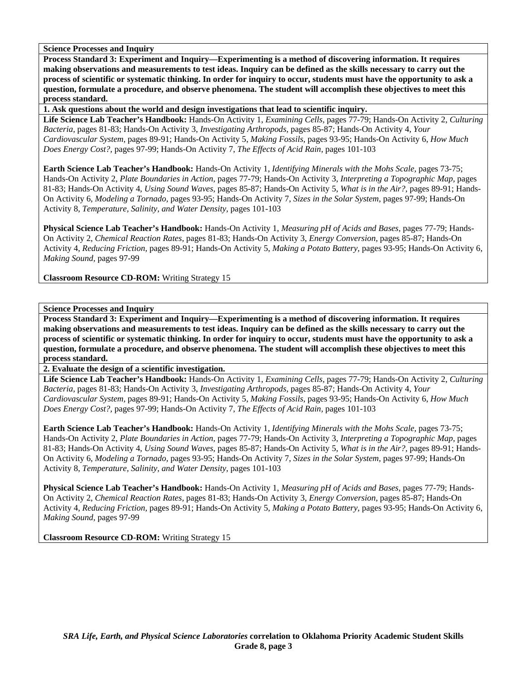**Process Standard 3: Experiment and Inquiry—Experimenting is a method of discovering information. It requires making observations and measurements to test ideas. Inquiry can be defined as the skills necessary to carry out the process of scientific or systematic thinking. In order for inquiry to occur, students must have the opportunity to ask a question, formulate a procedure, and observe phenomena. The student will accomplish these objectives to meet this process standard.** 

**1. Ask questions about the world and design investigations that lead to scientific inquiry.** 

**Life Science Lab Teacher's Handbook:** Hands-On Activity 1, *Examining Cells,* pages 77-79; Hands-On Activity 2, *Culturing Bacteria,* pages 81-83; Hands-On Activity 3, *Investigating Arthropods,* pages 85-87; Hands-On Activity 4, *Your Cardiovascular System,* pages 89-91; Hands-On Activity 5, *Making Fossils,* pages 93-95; Hands-On Activity 6, *How Much Does Energy Cost?,* pages 97-99; Hands-On Activity 7, *The Effects of Acid Rain,* pages 101-103

**Earth Science Lab Teacher's Handbook:** Hands-On Activity 1, *Identifying Minerals with the Mohs Scale,* pages 73-75; Hands-On Activity 2, *Plate Boundaries in Action,* pages 77-79; Hands-On Activity 3, *Interpreting a Topographic Map,* pages 81-83; Hands-On Activity 4, *Using Sound Waves,* pages 85-87; Hands-On Activity 5, *What is in the Air?,* pages 89-91; Hands-On Activity 6, *Modeling a Tornado,* pages 93-95; Hands-On Activity 7, *Sizes in the Solar System,* pages 97-99; Hands-On Activity 8, *Temperature, Salinity, and Water Density,* pages 101-103

**Physical Science Lab Teacher's Handbook:** Hands-On Activity 1, *Measuring pH of Acids and Bases,* pages 77-79; Hands-On Activity 2, *Chemical Reaction Rates,* pages 81-83; Hands-On Activity 3, *Energy Conversion,* pages 85-87; Hands-On Activity 4, *Reducing Friction,* pages 89-91; Hands-On Activity 5, *Making a Potato Battery,* pages 93-95; Hands-On Activity 6, *Making Sound,* pages 97-99

**Classroom Resource CD-ROM:** Writing Strategy 15

# **Science Processes and Inquiry**

**Process Standard 3: Experiment and Inquiry—Experimenting is a method of discovering information. It requires making observations and measurements to test ideas. Inquiry can be defined as the skills necessary to carry out the process of scientific or systematic thinking. In order for inquiry to occur, students must have the opportunity to ask a question, formulate a procedure, and observe phenomena. The student will accomplish these objectives to meet this process standard.** 

**2. Evaluate the design of a scientific investigation.** 

**Life Science Lab Teacher's Handbook:** Hands-On Activity 1, *Examining Cells,* pages 77-79; Hands-On Activity 2, *Culturing Bacteria,* pages 81-83; Hands-On Activity 3, *Investigating Arthropods,* pages 85-87; Hands-On Activity 4, *Your Cardiovascular System,* pages 89-91; Hands-On Activity 5, *Making Fossils,* pages 93-95; Hands-On Activity 6, *How Much Does Energy Cost?,* pages 97-99; Hands-On Activity 7, *The Effects of Acid Rain,* pages 101-103

**Earth Science Lab Teacher's Handbook:** Hands-On Activity 1, *Identifying Minerals with the Mohs Scale,* pages 73-75; Hands-On Activity 2, *Plate Boundaries in Action,* pages 77-79; Hands-On Activity 3, *Interpreting a Topographic Map,* pages 81-83; Hands-On Activity 4, *Using Sound Waves,* pages 85-87; Hands-On Activity 5, *What is in the Air?,* pages 89-91; Hands-On Activity 6, *Modeling a Tornado,* pages 93-95; Hands-On Activity 7, *Sizes in the Solar System,* pages 97-99; Hands-On Activity 8, *Temperature, Salinity, and Water Density,* pages 101-103

**Physical Science Lab Teacher's Handbook:** Hands-On Activity 1, *Measuring pH of Acids and Bases,* pages 77-79; Hands-On Activity 2, *Chemical Reaction Rates,* pages 81-83; Hands-On Activity 3, *Energy Conversion,* pages 85-87; Hands-On Activity 4, *Reducing Friction,* pages 89-91; Hands-On Activity 5, *Making a Potato Battery,* pages 93-95; Hands-On Activity 6, *Making Sound,* pages 97-99

**Classroom Resource CD-ROM:** Writing Strategy 15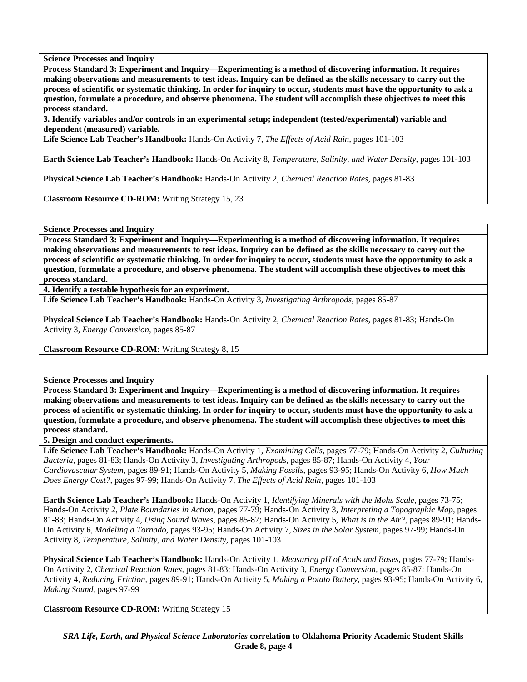**Process Standard 3: Experiment and Inquiry—Experimenting is a method of discovering information. It requires making observations and measurements to test ideas. Inquiry can be defined as the skills necessary to carry out the process of scientific or systematic thinking. In order for inquiry to occur, students must have the opportunity to ask a question, formulate a procedure, and observe phenomena. The student will accomplish these objectives to meet this process standard.** 

**3. Identify variables and/or controls in an experimental setup; independent (tested/experimental) variable and dependent (measured) variable.** 

**Life Science Lab Teacher's Handbook:** Hands-On Activity 7, *The Effects of Acid Rain,* pages 101-103

**Earth Science Lab Teacher's Handbook:** Hands-On Activity 8, *Temperature, Salinity, and Water Density,* pages 101-103

**Physical Science Lab Teacher's Handbook:** Hands-On Activity 2, *Chemical Reaction Rates,* pages 81-83

**Classroom Resource CD-ROM:** Writing Strategy 15, 23

**Science Processes and Inquiry** 

**Process Standard 3: Experiment and Inquiry—Experimenting is a method of discovering information. It requires making observations and measurements to test ideas. Inquiry can be defined as the skills necessary to carry out the process of scientific or systematic thinking. In order for inquiry to occur, students must have the opportunity to ask a question, formulate a procedure, and observe phenomena. The student will accomplish these objectives to meet this process standard.** 

**4. Identify a testable hypothesis for an experiment.** 

**Life Science Lab Teacher's Handbook:** Hands-On Activity 3, *Investigating Arthropods,* pages 85-87

**Physical Science Lab Teacher's Handbook:** Hands-On Activity 2, *Chemical Reaction Rates,* pages 81-83; Hands-On Activity 3, *Energy Conversion,* pages 85-87

**Classroom Resource CD-ROM:** Writing Strategy 8, 15

**Science Processes and Inquiry** 

**Process Standard 3: Experiment and Inquiry—Experimenting is a method of discovering information. It requires making observations and measurements to test ideas. Inquiry can be defined as the skills necessary to carry out the process of scientific or systematic thinking. In order for inquiry to occur, students must have the opportunity to ask a question, formulate a procedure, and observe phenomena. The student will accomplish these objectives to meet this process standard.** 

**5. Design and conduct experiments.** 

**Life Science Lab Teacher's Handbook:** Hands-On Activity 1, *Examining Cells,* pages 77-79; Hands-On Activity 2, *Culturing Bacteria,* pages 81-83; Hands-On Activity 3, *Investigating Arthropods,* pages 85-87; Hands-On Activity 4, *Your Cardiovascular System,* pages 89-91; Hands-On Activity 5, *Making Fossils,* pages 93-95; Hands-On Activity 6, *How Much Does Energy Cost?,* pages 97-99; Hands-On Activity 7, *The Effects of Acid Rain,* pages 101-103

**Earth Science Lab Teacher's Handbook:** Hands-On Activity 1, *Identifying Minerals with the Mohs Scale,* pages 73-75; Hands-On Activity 2, *Plate Boundaries in Action,* pages 77-79; Hands-On Activity 3, *Interpreting a Topographic Map,* pages 81-83; Hands-On Activity 4, *Using Sound Waves,* pages 85-87; Hands-On Activity 5, *What is in the Air?,* pages 89-91; Hands-On Activity 6, *Modeling a Tornado,* pages 93-95; Hands-On Activity 7, *Sizes in the Solar System,* pages 97-99; Hands-On Activity 8, *Temperature, Salinity, and Water Density,* pages 101-103

**Physical Science Lab Teacher's Handbook:** Hands-On Activity 1, *Measuring pH of Acids and Bases,* pages 77-79; Hands-On Activity 2, *Chemical Reaction Rates,* pages 81-83; Hands-On Activity 3, *Energy Conversion,* pages 85-87; Hands-On Activity 4, *Reducing Friction,* pages 89-91; Hands-On Activity 5, *Making a Potato Battery,* pages 93-95; Hands-On Activity 6, *Making Sound,* pages 97-99

**Classroom Resource CD-ROM:** Writing Strategy 15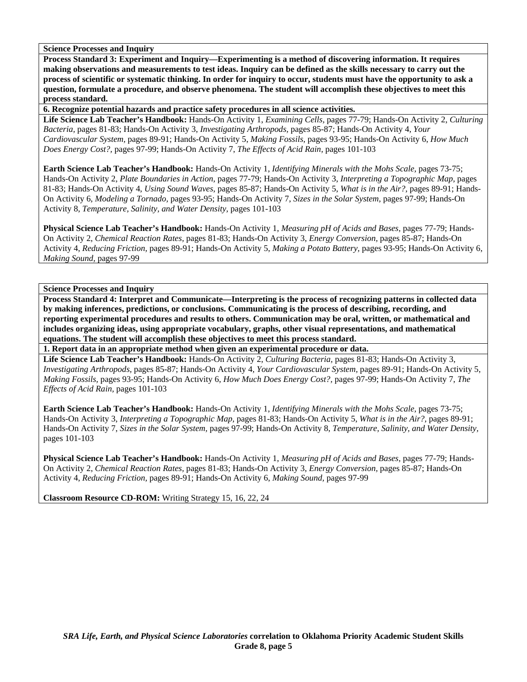**Process Standard 3: Experiment and Inquiry—Experimenting is a method of discovering information. It requires making observations and measurements to test ideas. Inquiry can be defined as the skills necessary to carry out the process of scientific or systematic thinking. In order for inquiry to occur, students must have the opportunity to ask a question, formulate a procedure, and observe phenomena. The student will accomplish these objectives to meet this process standard.** 

**6. Recognize potential hazards and practice safety procedures in all science activities.** 

**Life Science Lab Teacher's Handbook:** Hands-On Activity 1, *Examining Cells,* pages 77-79; Hands-On Activity 2, *Culturing Bacteria,* pages 81-83; Hands-On Activity 3, *Investigating Arthropods,* pages 85-87; Hands-On Activity 4, *Your Cardiovascular System,* pages 89-91; Hands-On Activity 5, *Making Fossils,* pages 93-95; Hands-On Activity 6, *How Much Does Energy Cost?,* pages 97-99; Hands-On Activity 7, *The Effects of Acid Rain,* pages 101-103

**Earth Science Lab Teacher's Handbook:** Hands-On Activity 1, *Identifying Minerals with the Mohs Scale,* pages 73-75; Hands-On Activity 2, *Plate Boundaries in Action,* pages 77-79; Hands-On Activity 3, *Interpreting a Topographic Map,* pages 81-83; Hands-On Activity 4, *Using Sound Waves,* pages 85-87; Hands-On Activity 5, *What is in the Air?,* pages 89-91; Hands-On Activity 6, *Modeling a Tornado,* pages 93-95; Hands-On Activity 7, *Sizes in the Solar System,* pages 97-99; Hands-On Activity 8, *Temperature, Salinity, and Water Density,* pages 101-103

**Physical Science Lab Teacher's Handbook:** Hands-On Activity 1, *Measuring pH of Acids and Bases,* pages 77-79; Hands-On Activity 2, *Chemical Reaction Rates,* pages 81-83; Hands-On Activity 3, *Energy Conversion,* pages 85-87; Hands-On Activity 4, *Reducing Friction,* pages 89-91; Hands-On Activity 5, *Making a Potato Battery,* pages 93-95; Hands-On Activity 6, *Making Sound,* pages 97-99

**Science Processes and Inquiry** 

**Process Standard 4: Interpret and Communicate—Interpreting is the process of recognizing patterns in collected data by making inferences, predictions, or conclusions. Communicating is the process of describing, recording, and reporting experimental procedures and results to others. Communication may be oral, written, or mathematical and includes organizing ideas, using appropriate vocabulary, graphs, other visual representations, and mathematical equations. The student will accomplish these objectives to meet this process standard.** 

**1. Report data in an appropriate method when given an experimental procedure or data.** 

**Life Science Lab Teacher's Handbook:** Hands-On Activity 2, *Culturing Bacteria,* pages 81-83; Hands-On Activity 3, *Investigating Arthropods,* pages 85-87; Hands-On Activity 4, *Your Cardiovascular System,* pages 89-91; Hands-On Activity 5, *Making Fossils,* pages 93-95; Hands-On Activity 6, *How Much Does Energy Cost?,* pages 97-99; Hands-On Activity 7, *The Effects of Acid Rain,* pages 101-103

**Earth Science Lab Teacher's Handbook:** Hands-On Activity 1, *Identifying Minerals with the Mohs Scale,* pages 73-75; Hands-On Activity 3, *Interpreting a Topographic Map,* pages 81-83; Hands-On Activity 5, *What is in the Air?,* pages 89-91; Hands-On Activity 7, *Sizes in the Solar System,* pages 97-99; Hands-On Activity 8, *Temperature, Salinity, and Water Density,* pages 101-103

**Physical Science Lab Teacher's Handbook:** Hands-On Activity 1, *Measuring pH of Acids and Bases,* pages 77-79; Hands-On Activity 2, *Chemical Reaction Rates,* pages 81-83; Hands-On Activity 3, *Energy Conversion,* pages 85-87; Hands-On Activity 4, *Reducing Friction,* pages 89-91; Hands-On Activity 6, *Making Sound,* pages 97-99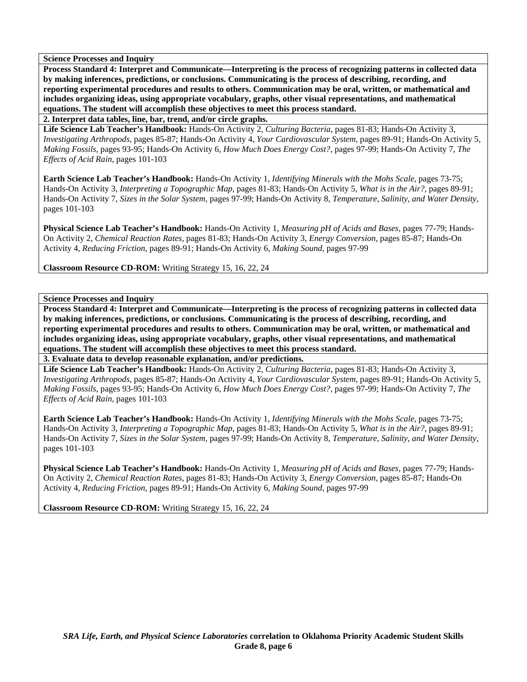**Process Standard 4: Interpret and Communicate—Interpreting is the process of recognizing patterns in collected data by making inferences, predictions, or conclusions. Communicating is the process of describing, recording, and reporting experimental procedures and results to others. Communication may be oral, written, or mathematical and includes organizing ideas, using appropriate vocabulary, graphs, other visual representations, and mathematical equations. The student will accomplish these objectives to meet this process standard.** 

**2. Interpret data tables, line, bar, trend, and/or circle graphs.** 

**Life Science Lab Teacher's Handbook:** Hands-On Activity 2, *Culturing Bacteria,* pages 81-83; Hands-On Activity 3, *Investigating Arthropods,* pages 85-87; Hands-On Activity 4, *Your Cardiovascular System,* pages 89-91; Hands-On Activity 5, *Making Fossils,* pages 93-95; Hands-On Activity 6, *How Much Does Energy Cost?,* pages 97-99; Hands-On Activity 7, *The Effects of Acid Rain,* pages 101-103

**Earth Science Lab Teacher's Handbook:** Hands-On Activity 1, *Identifying Minerals with the Mohs Scale,* pages 73-75; Hands-On Activity 3, *Interpreting a Topographic Map,* pages 81-83; Hands-On Activity 5, *What is in the Air?,* pages 89-91; Hands-On Activity 7, *Sizes in the Solar System,* pages 97-99; Hands-On Activity 8, *Temperature, Salinity, and Water Density,* pages 101-103

**Physical Science Lab Teacher's Handbook:** Hands-On Activity 1, *Measuring pH of Acids and Bases,* pages 77-79; Hands-On Activity 2, *Chemical Reaction Rates,* pages 81-83; Hands-On Activity 3, *Energy Conversion,* pages 85-87; Hands-On Activity 4, *Reducing Friction,* pages 89-91; Hands-On Activity 6, *Making Sound,* pages 97-99

**Classroom Resource CD-ROM:** Writing Strategy 15, 16, 22, 24

**Science Processes and Inquiry** 

**Process Standard 4: Interpret and Communicate—Interpreting is the process of recognizing patterns in collected data by making inferences, predictions, or conclusions. Communicating is the process of describing, recording, and reporting experimental procedures and results to others. Communication may be oral, written, or mathematical and includes organizing ideas, using appropriate vocabulary, graphs, other visual representations, and mathematical equations. The student will accomplish these objectives to meet this process standard.** 

**3. Evaluate data to develop reasonable explanation, and/or predictions.** 

**Life Science Lab Teacher's Handbook:** Hands-On Activity 2, *Culturing Bacteria,* pages 81-83; Hands-On Activity 3, *Investigating Arthropods,* pages 85-87; Hands-On Activity 4, *Your Cardiovascular System,* pages 89-91; Hands-On Activity 5, *Making Fossils,* pages 93-95; Hands-On Activity 6, *How Much Does Energy Cost?,* pages 97-99; Hands-On Activity 7, *The Effects of Acid Rain,* pages 101-103

**Earth Science Lab Teacher's Handbook:** Hands-On Activity 1, *Identifying Minerals with the Mohs Scale,* pages 73-75; Hands-On Activity 3, *Interpreting a Topographic Map,* pages 81-83; Hands-On Activity 5, *What is in the Air?,* pages 89-91; Hands-On Activity 7, *Sizes in the Solar System,* pages 97-99; Hands-On Activity 8, *Temperature, Salinity, and Water Density,* pages 101-103

**Physical Science Lab Teacher's Handbook:** Hands-On Activity 1, *Measuring pH of Acids and Bases,* pages 77-79; Hands-On Activity 2, *Chemical Reaction Rates,* pages 81-83; Hands-On Activity 3, *Energy Conversion,* pages 85-87; Hands-On Activity 4, *Reducing Friction,* pages 89-91; Hands-On Activity 6, *Making Sound,* pages 97-99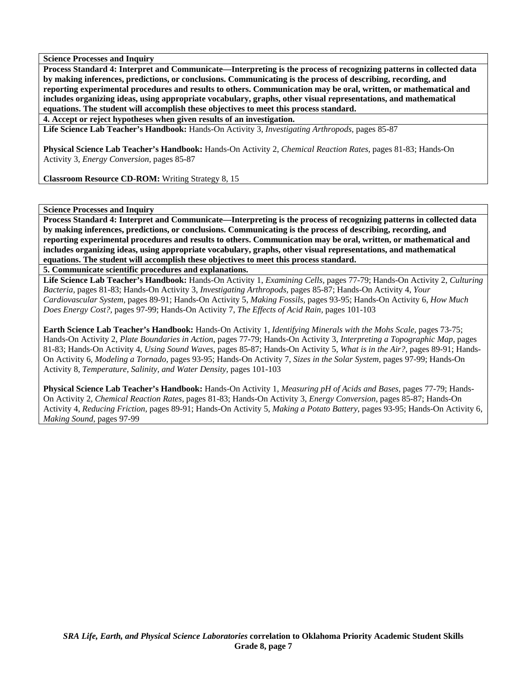**Process Standard 4: Interpret and Communicate—Interpreting is the process of recognizing patterns in collected data by making inferences, predictions, or conclusions. Communicating is the process of describing, recording, and reporting experimental procedures and results to others. Communication may be oral, written, or mathematical and includes organizing ideas, using appropriate vocabulary, graphs, other visual representations, and mathematical equations. The student will accomplish these objectives to meet this process standard.** 

**4. Accept or reject hypotheses when given results of an investigation.** 

**Life Science Lab Teacher's Handbook:** Hands-On Activity 3, *Investigating Arthropods,* pages 85-87

**Physical Science Lab Teacher's Handbook:** Hands-On Activity 2, *Chemical Reaction Rates,* pages 81-83; Hands-On Activity 3, *Energy Conversion,* pages 85-87

**Classroom Resource CD-ROM:** Writing Strategy 8, 15

## **Science Processes and Inquiry**

**Process Standard 4: Interpret and Communicate—Interpreting is the process of recognizing patterns in collected data by making inferences, predictions, or conclusions. Communicating is the process of describing, recording, and reporting experimental procedures and results to others. Communication may be oral, written, or mathematical and includes organizing ideas, using appropriate vocabulary, graphs, other visual representations, and mathematical equations. The student will accomplish these objectives to meet this process standard.** 

**5. Communicate scientific procedures and explanations.** 

**Life Science Lab Teacher's Handbook:** Hands-On Activity 1, *Examining Cells,* pages 77-79; Hands-On Activity 2, *Culturing Bacteria,* pages 81-83; Hands-On Activity 3, *Investigating Arthropods,* pages 85-87; Hands-On Activity 4, *Your Cardiovascular System,* pages 89-91; Hands-On Activity 5, *Making Fossils,* pages 93-95; Hands-On Activity 6, *How Much Does Energy Cost?,* pages 97-99; Hands-On Activity 7, *The Effects of Acid Rain,* pages 101-103

**Earth Science Lab Teacher's Handbook:** Hands-On Activity 1, *Identifying Minerals with the Mohs Scale,* pages 73-75; Hands-On Activity 2, *Plate Boundaries in Action,* pages 77-79; Hands-On Activity 3, *Interpreting a Topographic Map,* pages 81-83; Hands-On Activity 4, *Using Sound Waves,* pages 85-87; Hands-On Activity 5, *What is in the Air?,* pages 89-91; Hands-On Activity 6, *Modeling a Tornado,* pages 93-95; Hands-On Activity 7, *Sizes in the Solar System,* pages 97-99; Hands-On Activity 8, *Temperature, Salinity, and Water Density,* pages 101-103

**Physical Science Lab Teacher's Handbook:** Hands-On Activity 1, *Measuring pH of Acids and Bases,* pages 77-79; Hands-On Activity 2, *Chemical Reaction Rates,* pages 81-83; Hands-On Activity 3, *Energy Conversion,* pages 85-87; Hands-On Activity 4, *Reducing Friction,* pages 89-91; Hands-On Activity 5, *Making a Potato Battery,* pages 93-95; Hands-On Activity 6, *Making Sound,* pages 97-99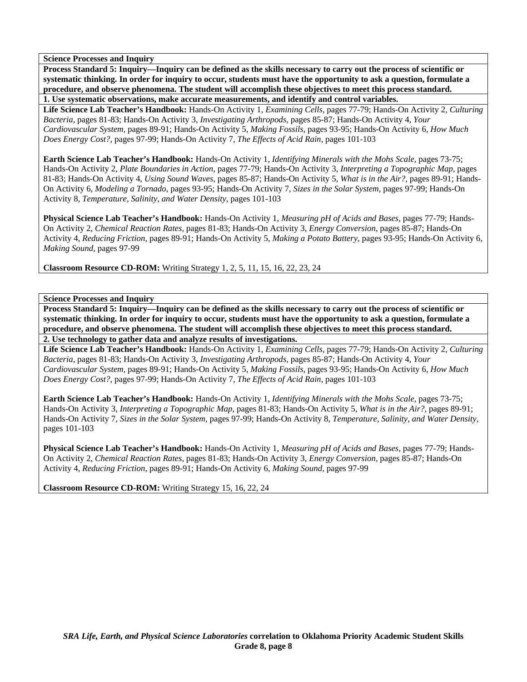**Process Standard 5: Inquiry—Inquiry can be defined as the skills necessary to carry out the process of scientific or systematic thinking. In order for inquiry to occur, students must have the opportunity to ask a question, formulate a procedure, and observe phenomena. The student will accomplish these objectives to meet this process standard.** 

**1. Use systematic observations, make accurate measurements, and identify and control variables.** 

**Life Science Lab Teacher's Handbook:** Hands-On Activity 1, *Examining Cells,* pages 77-79; Hands-On Activity 2, *Culturing Bacteria,* pages 81-83; Hands-On Activity 3, *Investigating Arthropods,* pages 85-87; Hands-On Activity 4, *Your Cardiovascular System,* pages 89-91; Hands-On Activity 5, *Making Fossils,* pages 93-95; Hands-On Activity 6, *How Much Does Energy Cost?,* pages 97-99; Hands-On Activity 7, *The Effects of Acid Rain,* pages 101-103

**Earth Science Lab Teacher's Handbook:** Hands-On Activity 1, *Identifying Minerals with the Mohs Scale,* pages 73-75; Hands-On Activity 2, *Plate Boundaries in Action,* pages 77-79; Hands-On Activity 3, *Interpreting a Topographic Map,* pages 81-83; Hands-On Activity 4, *Using Sound Waves,* pages 85-87; Hands-On Activity 5, *What is in the Air?,* pages 89-91; Hands-On Activity 6, *Modeling a Tornado,* pages 93-95; Hands-On Activity 7, *Sizes in the Solar System,* pages 97-99; Hands-On Activity 8, *Temperature, Salinity, and Water Density,* pages 101-103

**Physical Science Lab Teacher's Handbook:** Hands-On Activity 1, *Measuring pH of Acids and Bases,* pages 77-79; Hands-On Activity 2, *Chemical Reaction Rates,* pages 81-83; Hands-On Activity 3, *Energy Conversion,* pages 85-87; Hands-On Activity 4, *Reducing Friction,* pages 89-91; Hands-On Activity 5, *Making a Potato Battery,* pages 93-95; Hands-On Activity 6, *Making Sound,* pages 97-99

**Classroom Resource CD-ROM:** Writing Strategy 1, 2, 5, 11, 15, 16, 22, 23, 24

**Science Processes and Inquiry** 

**Process Standard 5: Inquiry—Inquiry can be defined as the skills necessary to carry out the process of scientific or systematic thinking. In order for inquiry to occur, students must have the opportunity to ask a question, formulate a procedure, and observe phenomena. The student will accomplish these objectives to meet this process standard. 2. Use technology to gather data and analyze results of investigations.** 

**Life Science Lab Teacher's Handbook:** Hands-On Activity 1, *Examining Cells,* pages 77-79; Hands-On Activity 2, *Culturing Bacteria,* pages 81-83; Hands-On Activity 3, *Investigating Arthropods,* pages 85-87; Hands-On Activity 4, *Your Cardiovascular System,* pages 89-91; Hands-On Activity 5, *Making Fossils,* pages 93-95; Hands-On Activity 6, *How Much Does Energy Cost?,* pages 97-99; Hands-On Activity 7, *The Effects of Acid Rain,* pages 101-103

**Earth Science Lab Teacher's Handbook:** Hands-On Activity 1, *Identifying Minerals with the Mohs Scale,* pages 73-75; Hands-On Activity 3, *Interpreting a Topographic Map,* pages 81-83; Hands-On Activity 5, *What is in the Air?,* pages 89-91; Hands-On Activity 7, *Sizes in the Solar System,* pages 97-99; Hands-On Activity 8, *Temperature, Salinity, and Water Density,* pages 101-103

**Physical Science Lab Teacher's Handbook:** Hands-On Activity 1, *Measuring pH of Acids and Bases,* pages 77-79; Hands-On Activity 2, *Chemical Reaction Rates,* pages 81-83; Hands-On Activity 3, *Energy Conversion,* pages 85-87; Hands-On Activity 4, *Reducing Friction,* pages 89-91; Hands-On Activity 6, *Making Sound,* pages 97-99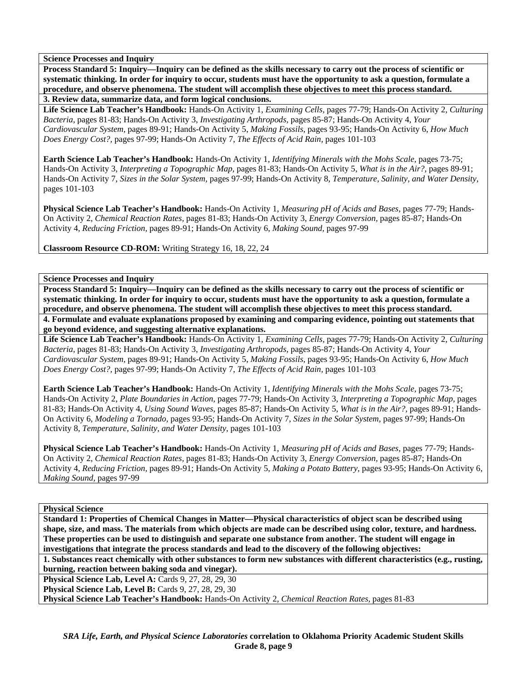**Process Standard 5: Inquiry—Inquiry can be defined as the skills necessary to carry out the process of scientific or systematic thinking. In order for inquiry to occur, students must have the opportunity to ask a question, formulate a procedure, and observe phenomena. The student will accomplish these objectives to meet this process standard.** 

**3. Review data, summarize data, and form logical conclusions.** 

**Life Science Lab Teacher's Handbook:** Hands-On Activity 1, *Examining Cells,* pages 77-79; Hands-On Activity 2, *Culturing Bacteria,* pages 81-83; Hands-On Activity 3, *Investigating Arthropods,* pages 85-87; Hands-On Activity 4, *Your Cardiovascular System,* pages 89-91; Hands-On Activity 5, *Making Fossils,* pages 93-95; Hands-On Activity 6, *How Much Does Energy Cost?,* pages 97-99; Hands-On Activity 7, *The Effects of Acid Rain,* pages 101-103

**Earth Science Lab Teacher's Handbook:** Hands-On Activity 1, *Identifying Minerals with the Mohs Scale,* pages 73-75; Hands-On Activity 3, *Interpreting a Topographic Map,* pages 81-83; Hands-On Activity 5, *What is in the Air?,* pages 89-91; Hands-On Activity 7, *Sizes in the Solar System,* pages 97-99; Hands-On Activity 8, *Temperature, Salinity, and Water Density,* pages 101-103

**Physical Science Lab Teacher's Handbook:** Hands-On Activity 1, *Measuring pH of Acids and Bases,* pages 77-79; Hands-On Activity 2, *Chemical Reaction Rates,* pages 81-83; Hands-On Activity 3, *Energy Conversion,* pages 85-87; Hands-On Activity 4, *Reducing Friction,* pages 89-91; Hands-On Activity 6, *Making Sound,* pages 97-99

**Classroom Resource CD-ROM:** Writing Strategy 16, 18, 22, 24

# **Science Processes and Inquiry**

**Process Standard 5: Inquiry—Inquiry can be defined as the skills necessary to carry out the process of scientific or systematic thinking. In order for inquiry to occur, students must have the opportunity to ask a question, formulate a procedure, and observe phenomena. The student will accomplish these objectives to meet this process standard. 4. Formulate and evaluate explanations proposed by examining and comparing evidence, pointing out statements that** 

**go beyond evidence, and suggesting alternative explanations.** 

**Life Science Lab Teacher's Handbook:** Hands-On Activity 1, *Examining Cells,* pages 77-79; Hands-On Activity 2, *Culturing Bacteria,* pages 81-83; Hands-On Activity 3, *Investigating Arthropods,* pages 85-87; Hands-On Activity 4, *Your Cardiovascular System,* pages 89-91; Hands-On Activity 5, *Making Fossils,* pages 93-95; Hands-On Activity 6, *How Much Does Energy Cost?,* pages 97-99; Hands-On Activity 7, *The Effects of Acid Rain,* pages 101-103

**Earth Science Lab Teacher's Handbook:** Hands-On Activity 1, *Identifying Minerals with the Mohs Scale,* pages 73-75; Hands-On Activity 2, *Plate Boundaries in Action,* pages 77-79; Hands-On Activity 3, *Interpreting a Topographic Map,* pages 81-83; Hands-On Activity 4, *Using Sound Waves,* pages 85-87; Hands-On Activity 5, *What is in the Air?,* pages 89-91; Hands-On Activity 6, *Modeling a Tornado,* pages 93-95; Hands-On Activity 7, *Sizes in the Solar System,* pages 97-99; Hands-On Activity 8, *Temperature, Salinity, and Water Density,* pages 101-103

**Physical Science Lab Teacher's Handbook:** Hands-On Activity 1, *Measuring pH of Acids and Bases,* pages 77-79; Hands-On Activity 2, *Chemical Reaction Rates,* pages 81-83; Hands-On Activity 3, *Energy Conversion,* pages 85-87; Hands-On Activity 4, *Reducing Friction,* pages 89-91; Hands-On Activity 5, *Making a Potato Battery,* pages 93-95; Hands-On Activity 6, *Making Sound,* pages 97-99

## **Physical Science**

**Standard 1: Properties of Chemical Changes in Matter—Physical characteristics of object scan be described using shape, size, and mass. The materials from which objects are made can be described using color, texture, and hardness. These properties can be used to distinguish and separate one substance from another. The student will engage in investigations that integrate the process standards and lead to the discovery of the following objectives:** 

**1. Substances react chemically with other substances to form new substances with different characteristics (e.g., rusting, burning, reaction between baking soda and vinegar).** 

**Physical Science Lab, Level A: Cards 9, 27, 28, 29, 30** 

**Physical Science Lab, Level B: Cards 9, 27, 28, 29, 30** 

**Physical Science Lab Teacher's Handbook:** Hands-On Activity 2, *Chemical Reaction Rates,* pages 81-83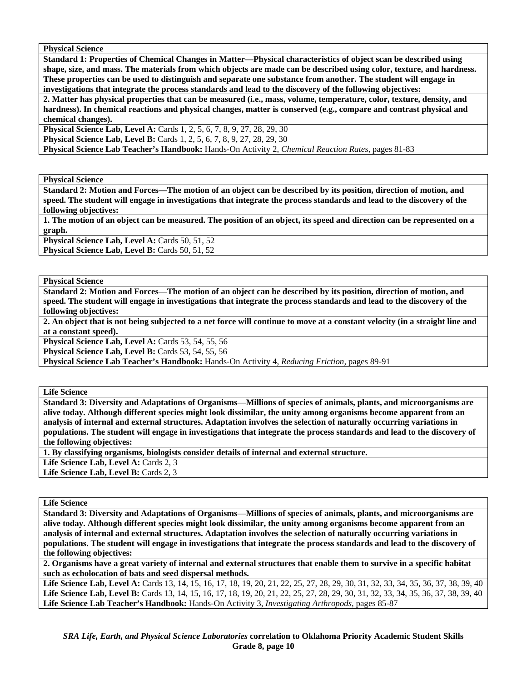**Physical Science** 

**Standard 1: Properties of Chemical Changes in Matter—Physical characteristics of object scan be described using shape, size, and mass. The materials from which objects are made can be described using color, texture, and hardness. These properties can be used to distinguish and separate one substance from another. The student will engage in investigations that integrate the process standards and lead to the discovery of the following objectives:** 

**2. Matter has physical properties that can be measured (i.e., mass, volume, temperature, color, texture, density, and hardness). In chemical reactions and physical changes, matter is conserved (e.g., compare and contrast physical and chemical changes).** 

**Physical Science Lab, Level A: Cards 1, 2, 5, 6, 7, 8, 9, 27, 28, 29, 30 Physical Science Lab, Level B:** Cards 1, 2, 5, 6, 7, 8, 9, 27, 28, 29, 30 **Physical Science Lab Teacher's Handbook:** Hands-On Activity 2, *Chemical Reaction Rates,* pages 81-83

**Physical Science** 

**Standard 2: Motion and Forces—The motion of an object can be described by its position, direction of motion, and speed. The student will engage in investigations that integrate the process standards and lead to the discovery of the following objectives:** 

**1. The motion of an object can be measured. The position of an object, its speed and direction can be represented on a graph.** 

Physical Science Lab, Level A: Cards 50, 51, 52 Physical Science Lab, Level B: Cards 50, 51, 52

**Physical Science** 

**Standard 2: Motion and Forces—The motion of an object can be described by its position, direction of motion, and speed. The student will engage in investigations that integrate the process standards and lead to the discovery of the following objectives:** 

**2. An object that is not being subjected to a net force will continue to move at a constant velocity (in a straight line and at a constant speed).** 

**Physical Science Lab, Level A: Cards 53, 54, 55, 56** 

**Physical Science Lab, Level B:** Cards 53, 54, 55, 56

**Physical Science Lab Teacher's Handbook:** Hands-On Activity 4, *Reducing Friction,* pages 89-91

**Life Science** 

**Standard 3: Diversity and Adaptations of Organisms—Millions of species of animals, plants, and microorganisms are alive today. Although different species might look dissimilar, the unity among organisms become apparent from an analysis of internal and external structures. Adaptation involves the selection of naturally occurring variations in populations. The student will engage in investigations that integrate the process standards and lead to the discovery of the following objectives:** 

**1. By classifying organisms, biologists consider details of internal and external structure.** 

Life Science Lab, Level A: Cards 2, 3

Life Science Lab, Level B: Cards 2, 3

**Life Science** 

**Standard 3: Diversity and Adaptations of Organisms—Millions of species of animals, plants, and microorganisms are alive today. Although different species might look dissimilar, the unity among organisms become apparent from an analysis of internal and external structures. Adaptation involves the selection of naturally occurring variations in populations. The student will engage in investigations that integrate the process standards and lead to the discovery of the following objectives:** 

**2. Organisms have a great variety of internal and external structures that enable them to survive in a specific habitat such as echolocation of bats and seed dispersal methods.** 

Life Science Lab, Level A: Cards 13, 14, 15, 16, 17, 18, 19, 20, 21, 22, 25, 27, 28, 29, 30, 31, 32, 33, 34, 35, 36, 37, 38, 39, 40 **Life Science Lab, Level B:** Cards 13, 14, 15, 16, 17, 18, 19, 20, 21, 22, 25, 27, 28, 29, 30, 31, 32, 33, 34, 35, 36, 37, 38, 39, 40 **Life Science Lab Teacher's Handbook:** Hands-On Activity 3, *Investigating Arthropods,* pages 85-87